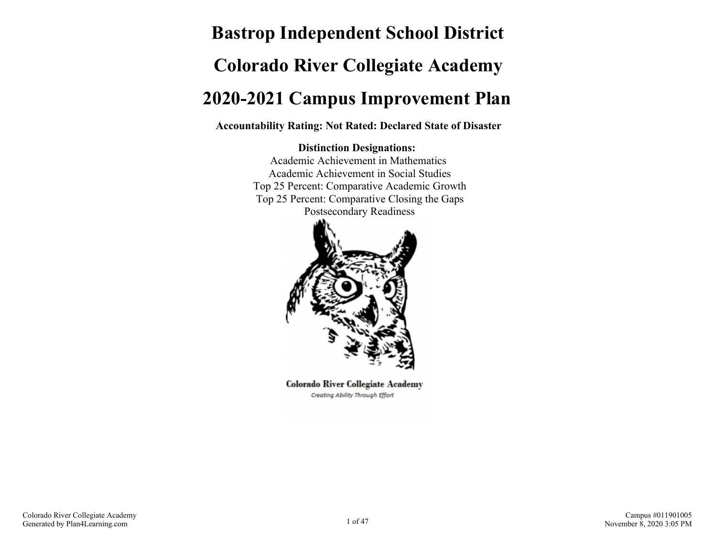# **Bastrop Independent School District Colorado River Collegiate Academy 2020-2021 Campus Improvement Plan**

**Accountability Rating: Not Rated: Declared State of Disaster**

#### **Distinction Designations:**

Academic Achievement in Mathematics Academic Achievement in Social Studies Top 25 Percent: Comparative Academic Growth Top 25 Percent: Comparative Closing the Gaps Postsecondary Readiness



**Colorado River Collegiate Academy** Creating Ability Through Effort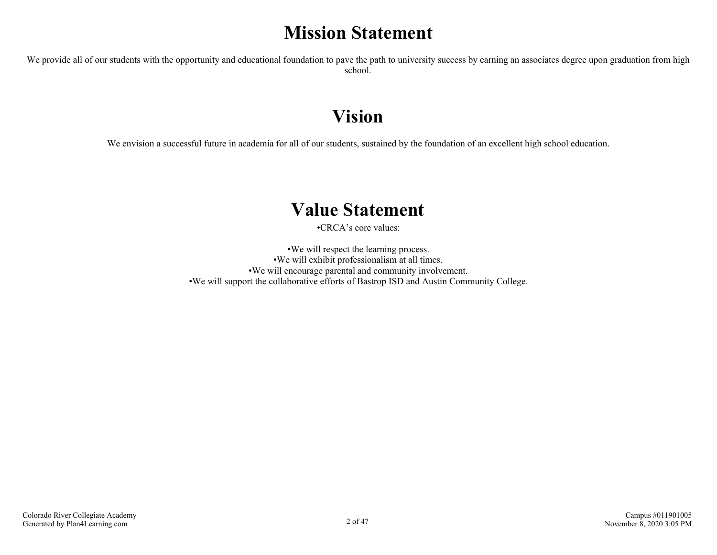## **Mission Statement**

We provide all of our students with the opportunity and educational foundation to pave the path to university success by earning an associates degree upon graduation from high school.

## **Vision**

We envision a successful future in academia for all of our students, sustained by the foundation of an excellent high school education.

## **Value Statement**

•CRCA's core values:

•We will respect the learning process. •We will exhibit professionalism at all times. •We will encourage parental and community involvement. •We will support the collaborative efforts of Bastrop ISD and Austin Community College.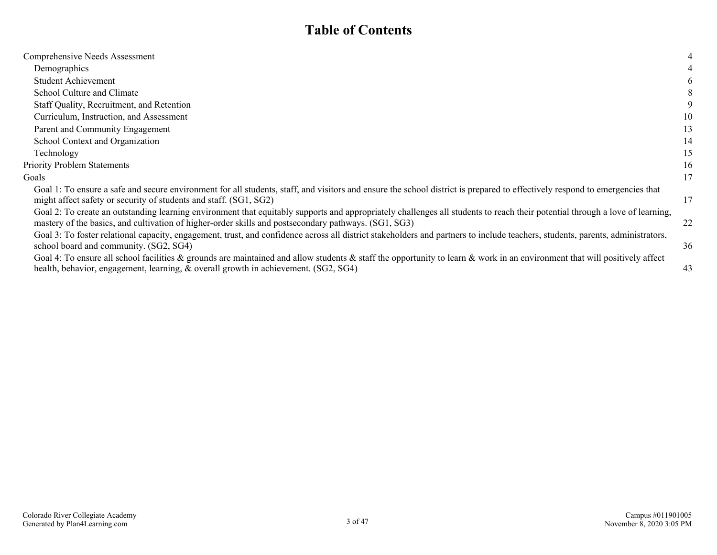## **Table of Contents**

| Comprehensive Needs Assessment                                                                                                                                                                                                                                                       | 4  |
|--------------------------------------------------------------------------------------------------------------------------------------------------------------------------------------------------------------------------------------------------------------------------------------|----|
| Demographics                                                                                                                                                                                                                                                                         |    |
| <b>Student Achievement</b>                                                                                                                                                                                                                                                           | 6  |
| School Culture and Climate                                                                                                                                                                                                                                                           | 8  |
| Staff Quality, Recruitment, and Retention                                                                                                                                                                                                                                            | 9  |
| Curriculum, Instruction, and Assessment                                                                                                                                                                                                                                              | 10 |
| Parent and Community Engagement                                                                                                                                                                                                                                                      | 13 |
| School Context and Organization                                                                                                                                                                                                                                                      | 14 |
| Technology                                                                                                                                                                                                                                                                           | 15 |
| <b>Priority Problem Statements</b>                                                                                                                                                                                                                                                   | 16 |
| Goals                                                                                                                                                                                                                                                                                | 17 |
| Goal 1: To ensure a safe and secure environment for all students, staff, and visitors and ensure the school district is prepared to effectively respond to emergencies that<br>might affect safety or security of students and staff. (SG1, SG2)                                     | 17 |
| Goal 2: To create an outstanding learning environment that equitably supports and appropriately challenges all students to reach their potential through a love of learning,<br>mastery of the basics, and cultivation of higher-order skills and postsecondary pathways. (SG1, SG3) | 22 |
| Goal 3: To foster relational capacity, engagement, trust, and confidence across all district stakeholders and partners to include teachers, students, parents, administrators,<br>school board and community. (SG2, SG4)                                                             | 36 |
| Goal 4: To ensure all school facilities $\&$ grounds are maintained and allow students $\&$ staff the opportunity to learn $\&$ work in an environment that will positively affect<br>health, behavior, engagement, learning, & overall growth in achievement. (SG2, SG4)            | 43 |
|                                                                                                                                                                                                                                                                                      |    |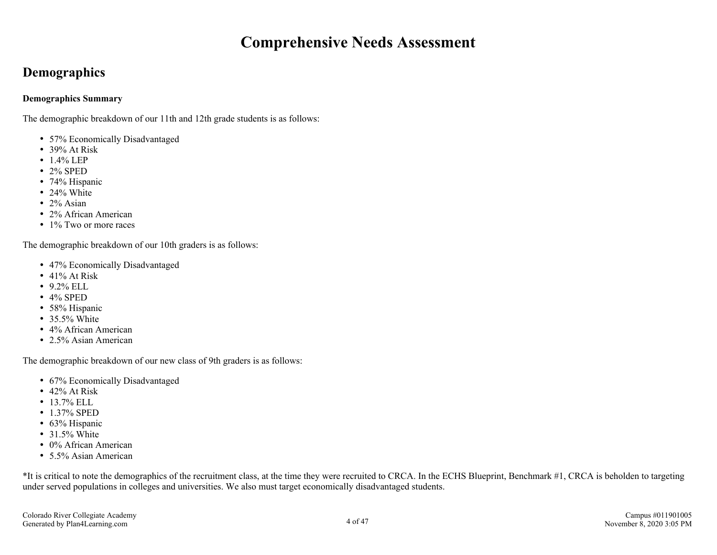## **Comprehensive Needs Assessment**

## <span id="page-3-0"></span>**Demographics**

#### **Demographics Summary**

The demographic breakdown of our 11th and 12th grade students is as follows:

- 57% Economically Disadvantaged
- 39% At Risk
- $-1.4\%$  LEP
- 2% SPED
- 74% Hispanic
- 24% White
- $\cdot$  2% Asian
- 2% African American
- 1% Two or more races

The demographic breakdown of our 10th graders is as follows:

- 47% Economically Disadvantaged
- $\cdot$  41% At Risk
- $-9.2\%$  ELL
- $\cdot$  4% SPED
- 58% Hispanic
- 35.5% White
- 4% African American
- 2.5% Asian American

The demographic breakdown of our new class of 9th graders is as follows:

- 67% Economically Disadvantaged
- $\cdot$  42% At Risk
- $13.7\%$  ELL
- 1.37% SPED
- 63% Hispanic
- $\cdot$  31.5% White
- 0% African American
- 5.5% Asian American

\*It is critical to note the demographics of the recruitment class, at the time they were recruited to CRCA. In the ECHS Blueprint, Benchmark #1, CRCA is beholden to targeting under served populations in colleges and universities. We also must target economically disadvantaged students.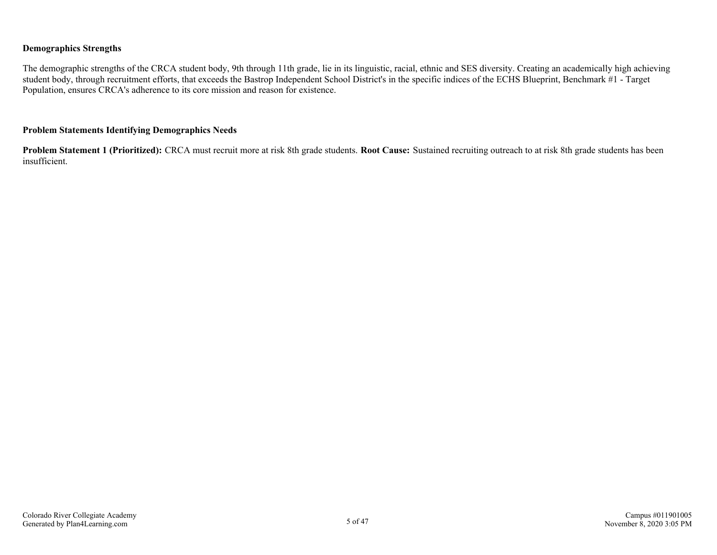#### **Demographics Strengths**

The demographic strengths of the CRCA student body, 9th through 11th grade, lie in its linguistic, racial, ethnic and SES diversity. Creating an academically high achieving student body, through recruitment efforts, that exceeds the Bastrop Independent School District's in the specific indices of the ECHS Blueprint, Benchmark #1 - Target Population, ensures CRCA's adherence to its core mission and reason for existence.

#### **Problem Statements Identifying Demographics Needs**

**Problem Statement 1 (Prioritized):** CRCA must recruit more at risk 8th grade students. **Root Cause:** Sustained recruiting outreach to at risk 8th grade students has been insufficient.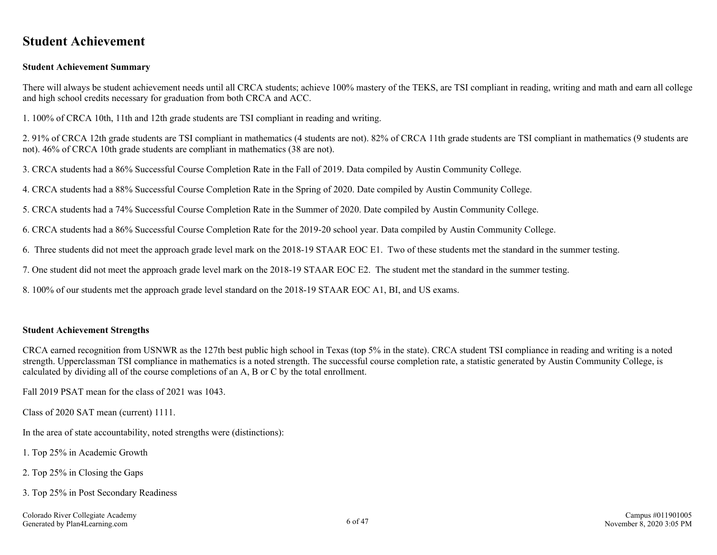## <span id="page-5-0"></span>**Student Achievement**

#### **Student Achievement Summary**

There will always be student achievement needs until all CRCA students; achieve 100% mastery of the TEKS, are TSI compliant in reading, writing and math and earn all college and high school credits necessary for graduation from both CRCA and ACC.

1. 100% of CRCA 10th, 11th and 12th grade students are TSI compliant in reading and writing.

2. 91% of CRCA 12th grade students are TSI compliant in mathematics (4 students are not). 82% of CRCA 11th grade students are TSI compliant in mathematics (9 students are not). 46% of CRCA 10th grade students are compliant in mathematics (38 are not).

3. CRCA students had a 86% Successful Course Completion Rate in the Fall of 2019. Data compiled by Austin Community College.

4. CRCA students had a 88% Successful Course Completion Rate in the Spring of 2020. Date compiled by Austin Community College.

5. CRCA students had a 74% Successful Course Completion Rate in the Summer of 2020. Date compiled by Austin Community College.

6. CRCA students had a 86% Successful Course Completion Rate for the 2019-20 school year. Data compiled by Austin Community College.

6. Three students did not meet the approach grade level mark on the 2018-19 STAAR EOC E1. Two of these students met the standard in the summer testing.

7. One student did not meet the approach grade level mark on the 2018-19 STAAR EOC E2. The student met the standard in the summer testing.

8. 100% of our students met the approach grade level standard on the 2018-19 STAAR EOC A1, BI, and US exams.

#### **Student Achievement Strengths**

CRCA earned recognition from USNWR as the 127th best public high school in Texas (top 5% in the state). CRCA student TSI compliance in reading and writing is a noted strength. Upperclassman TSI compliance in mathematics is a noted strength. The successful course completion rate, a statistic generated by Austin Community College, is calculated by dividing all of the course completions of an A, B or C by the total enrollment.

Fall 2019 PSAT mean for the class of 2021 was 1043.

Class of 2020 SAT mean (current) 1111.

In the area of state accountability, noted strengths were (distinctions):

1. Top 25% in Academic Growth

- 2. Top 25% in Closing the Gaps
- 3. Top 25% in Post Secondary Readiness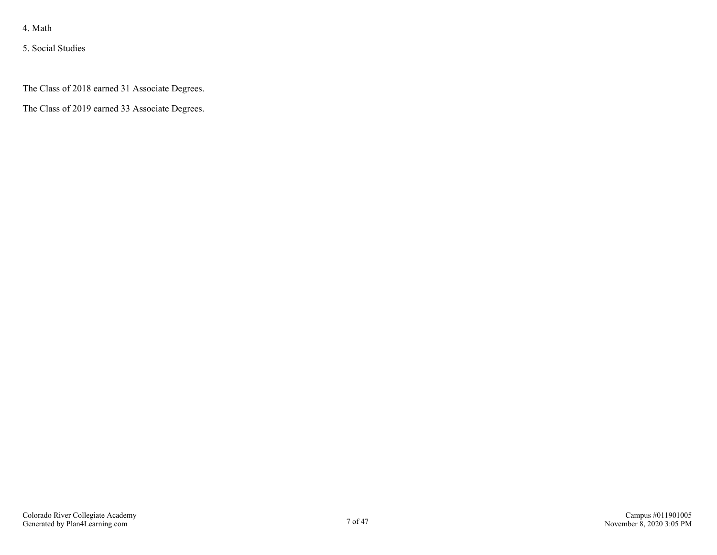5. Social Studies

The Class of 2018 earned 31 Associate Degrees.

The Class of 2019 earned 33 Associate Degrees.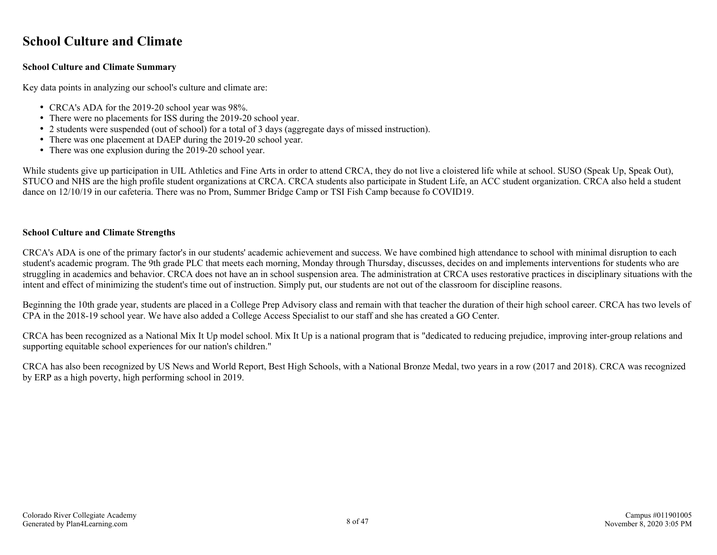## <span id="page-7-0"></span>**School Culture and Climate**

#### **School Culture and Climate Summary**

Key data points in analyzing our school's culture and climate are:

- CRCA's ADA for the 2019-20 school year was 98%.
- There were no placements for ISS during the 2019-20 school year.
- 2 students were suspended (out of school) for a total of 3 days (aggregate days of missed instruction).
- There was one placement at DAEP during the 2019-20 school year.
- There was one explusion during the 2019-20 school year.

While students give up participation in UIL Athletics and Fine Arts in order to attend CRCA, they do not live a cloistered life while at school. SUSO (Speak Up, Speak Out), STUCO and NHS are the high profile student organizations at CRCA. CRCA students also participate in Student Life, an ACC student organization. CRCA also held a student dance on 12/10/19 in our cafeteria. There was no Prom, Summer Bridge Camp or TSI Fish Camp because fo COVID19.

#### **School Culture and Climate Strengths**

CRCA's ADA is one of the primary factor's in our students' academic achievement and success. We have combined high attendance to school with minimal disruption to each student's academic program. The 9th grade PLC that meets each morning, Monday through Thursday, discusses, decides on and implements interventions for students who are struggling in academics and behavior. CRCA does not have an in school suspension area. The administration at CRCA uses restorative practices in disciplinary situations with the intent and effect of minimizing the student's time out of instruction. Simply put, our students are not out of the classroom for discipline reasons.

Beginning the 10th grade year, students are placed in a College Prep Advisory class and remain with that teacher the duration of their high school career. CRCA has two levels of CPA in the 2018-19 school year. We have also added a College Access Specialist to our staff and she has created a GO Center.

CRCA has been recognized as a National Mix It Up model school. Mix It Up is a national program that is "dedicated to reducing prejudice, improving inter-group relations and supporting equitable school experiences for our nation's children."

CRCA has also been recognized by US News and World Report, Best High Schools, with a National Bronze Medal, two years in a row (2017 and 2018). CRCA was recognized by ERP as a high poverty, high performing school in 2019.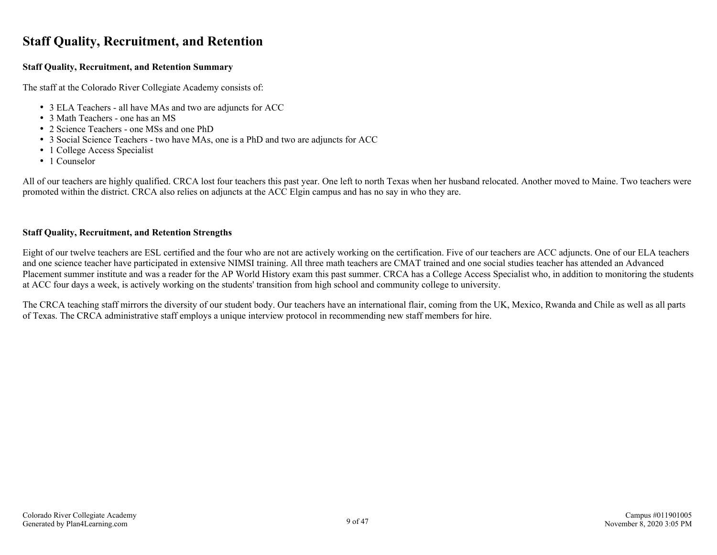## <span id="page-8-0"></span>**Staff Quality, Recruitment, and Retention**

#### **Staff Quality, Recruitment, and Retention Summary**

The staff at the Colorado River Collegiate Academy consists of:

- 3 ELA Teachers all have MAs and two are adjuncts for ACC
- 3 Math Teachers one has an MS
- 2 Science Teachers one MSs and one PhD
- 3 Social Science Teachers two have MAs, one is a PhD and two are adjuncts for ACC
- 1 College Access Specialist
- 1 Counselor

All of our teachers are highly qualified. CRCA lost four teachers this past year. One left to north Texas when her husband relocated. Another moved to Maine. Two teachers were promoted within the district. CRCA also relies on adjuncts at the ACC Elgin campus and has no say in who they are.

#### **Staff Quality, Recruitment, and Retention Strengths**

Eight of our twelve teachers are ESL certified and the four who are not are actively working on the certification. Five of our teachers are ACC adjuncts. One of our ELA teachers and one science teacher have participated in extensive NIMSI training. All three math teachers are CMAT trained and one social studies teacher has attended an Advanced Placement summer institute and was a reader for the AP World History exam this past summer. CRCA has a College Access Specialist who, in addition to monitoring the students at ACC four days a week, is actively working on the students' transition from high school and community college to university.

The CRCA teaching staff mirrors the diversity of our student body. Our teachers have an international flair, coming from the UK, Mexico, Rwanda and Chile as well as all parts of Texas. The CRCA administrative staff employs a unique interview protocol in recommending new staff members for hire.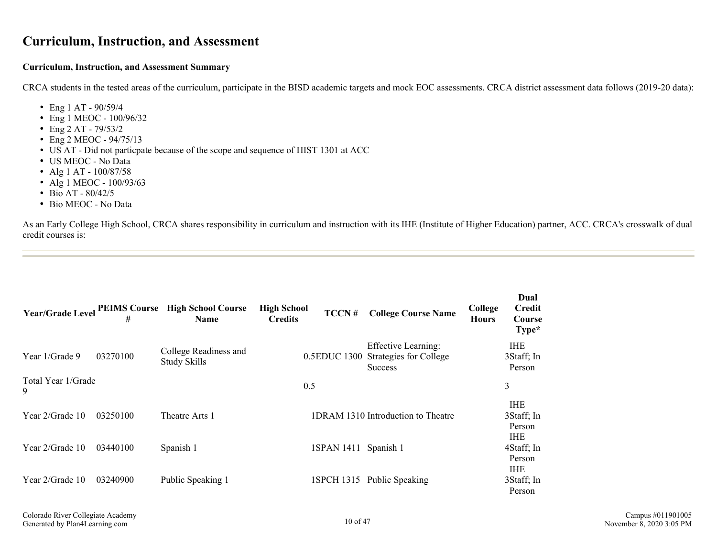### <span id="page-9-0"></span>**Curriculum, Instruction, and Assessment**

#### **Curriculum, Instruction, and Assessment Summary**

CRCA students in the tested areas of the curriculum, participate in the BISD academic targets and mock EOC assessments. CRCA district assessment data follows (2019-20 data):

- Eng 1 AT  $90/59/4$
- Eng 1 MEOC 100/96/32
- $\cdot$  Eng 2 AT 79/53/2
- Eng 2 MEOC 94/75/13
- US AT Did not particpate because of the scope and sequence of HIST 1301 at ACC
- US MEOC No Data
- Alg 1 AT 100/87/58
- Alg 1 MEOC 100/93/63
- $\bullet$  Bio AT 80/42/5
- Bio MEOC No Data

As an Early College High School, CRCA shares responsibility in curriculum and instruction with its IHE (Institute of Higher Education) partner, ACC. CRCA's crosswalk of dual credit courses is:

|                         | #        | Year/Grade Level PEIMS Course High School Course<br><b>Name</b> | <b>High School</b><br><b>Credits</b> | TCCN#                | <b>College Course Name</b>                                                          | College<br><b>Hours</b> | Dual<br>Credit<br>Course<br>Type*                |
|-------------------------|----------|-----------------------------------------------------------------|--------------------------------------|----------------------|-------------------------------------------------------------------------------------|-------------------------|--------------------------------------------------|
| Year 1/Grade 9          | 03270100 | College Readiness and<br><b>Study Skills</b>                    |                                      |                      | <b>Effective Learning:</b><br>0.5EDUC 1300 Strategies for College<br><b>Success</b> |                         | <b>IHE</b><br>3Staff; In<br>Person               |
| Total Year 1/Grade<br>9 |          |                                                                 | 0.5                                  |                      |                                                                                     |                         | 3                                                |
| Year 2/Grade 10         | 03250100 | Theatre Arts 1                                                  |                                      |                      | 1DRAM 1310 Introduction to Theatre                                                  |                         | <b>IHE</b><br>3Staff; In<br>Person<br><b>IHE</b> |
| Year 2/Grade 10         | 03440100 | Spanish 1                                                       |                                      | 1SPAN 1411 Spanish 1 |                                                                                     |                         | 4Staff; In<br>Person                             |
| Year 2/Grade 10         | 03240900 | Public Speaking 1                                               |                                      |                      | 1SPCH 1315 Public Speaking                                                          |                         | <b>IHE</b><br>3Staff; In<br>Person               |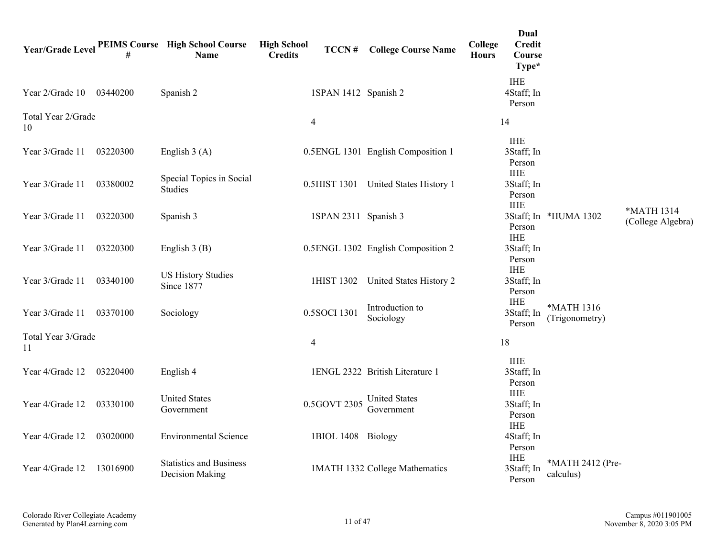| <b>Year/Grade Level</b>  |          | <b>PEIMS Course</b> High School Course<br><b>Name</b> | <b>High School</b><br>TCCN#<br><b>Credits</b> | <b>College Course Name</b>         | Dual<br>College<br><b>Credit</b><br><b>Hours</b><br>Course<br>Type* |                               |                                 |
|--------------------------|----------|-------------------------------------------------------|-----------------------------------------------|------------------------------------|---------------------------------------------------------------------|-------------------------------|---------------------------------|
| Year 2/Grade 10          | 03440200 | Spanish 2                                             | 1SPAN 1412 Spanish 2                          |                                    | <b>IHE</b><br>4Staff; In<br>Person                                  |                               |                                 |
| Total Year 2/Grade<br>10 |          |                                                       | $\overline{4}$                                |                                    | 14                                                                  |                               |                                 |
| Year 3/Grade 11          | 03220300 | English $3(A)$                                        |                                               | 0.5ENGL 1301 English Composition 1 | <b>IHE</b><br>3Staff; In<br>Person                                  |                               |                                 |
| Year 3/Grade 11          | 03380002 | Special Topics in Social<br>Studies                   | 0.5HIST 1301                                  | United States History 1            | <b>IHE</b><br>3Staff; In<br>Person                                  |                               |                                 |
| Year 3/Grade 11          | 03220300 | Spanish 3                                             | 1SPAN 2311 Spanish 3                          |                                    | <b>IHE</b><br>Person                                                | 3Staff; In *HUMA 1302         | *MATH 1314<br>(College Algebra) |
| Year 3/Grade 11          | 03220300 | English $3(B)$                                        |                                               | 0.5ENGL 1302 English Composition 2 | <b>IHE</b><br>3Staff; In<br>Person                                  |                               |                                 |
| Year 3/Grade 11          | 03340100 | <b>US History Studies</b><br>Since 1877               | 1HIST 1302                                    | United States History 2            | <b>IHE</b><br>3Staff; In<br>Person                                  |                               |                                 |
| Year 3/Grade 11          | 03370100 | Sociology                                             | 0.5SOCI 1301                                  | Introduction to<br>Sociology       | <b>IHE</b><br>3Staff; In<br>Person                                  | *MATH 1316<br>(Trigonometry)  |                                 |
| Total Year 3/Grade<br>11 |          |                                                       | $\overline{4}$                                |                                    | 18                                                                  |                               |                                 |
| Year 4/Grade 12          | 03220400 | English 4                                             |                                               | 1ENGL 2322 British Literature 1    | <b>IHE</b><br>3Staff; In<br>Person                                  |                               |                                 |
| Year 4/Grade 12          | 03330100 | <b>United States</b><br>Government                    | 0.5GOVT 2305                                  | <b>United States</b><br>Government | <b>IHE</b><br>3Staff; In<br>Person                                  |                               |                                 |
| Year 4/Grade 12          | 03020000 | <b>Environmental Science</b>                          | 1BIOL 1408 Biology                            |                                    | <b>IHE</b><br>4Staff; In<br>Person                                  |                               |                                 |
| Year 4/Grade 12          | 13016900 | <b>Statistics and Business</b><br>Decision Making     |                                               | 1MATH 1332 College Mathematics     | <b>IHE</b><br>3Staff; In<br>Person                                  | *MATH 2412 (Pre-<br>calculus) |                                 |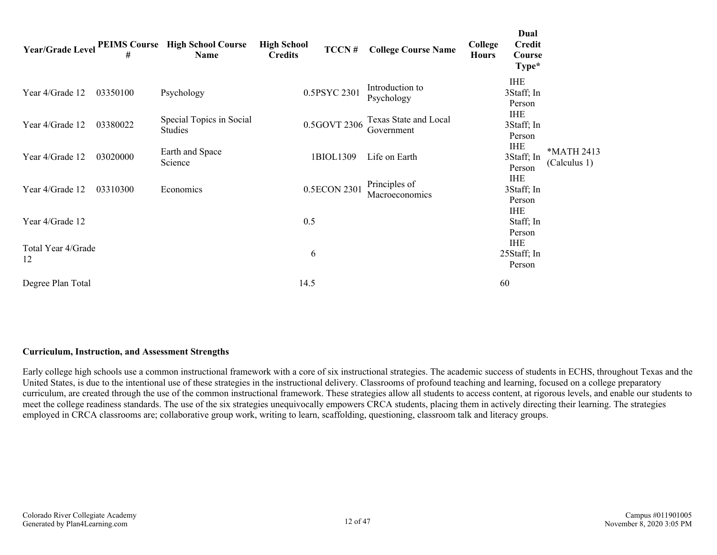|                          | #        | Year/Grade Level PEIMS Course High School Course<br>Name | <b>High School</b><br>TCCN#<br><b>Credits</b> | <b>College Course Name</b>          | College<br><b>Hours</b> | Dual<br><b>Credit</b><br>Course<br>Type* |                            |
|--------------------------|----------|----------------------------------------------------------|-----------------------------------------------|-------------------------------------|-------------------------|------------------------------------------|----------------------------|
| Year 4/Grade 12          | 03350100 | Psychology                                               | 0.5PSYC 2301                                  | Introduction to<br>Psychology       |                         | <b>IHE</b><br>3Staff; In<br>Person       |                            |
| Year 4/Grade 12          | 03380022 | Special Topics in Social<br><b>Studies</b>               | 0.5GOVT 2306                                  | Texas State and Local<br>Government |                         | <b>IHE</b><br>3Staff; In<br>Person       |                            |
| Year 4/Grade 12          | 03020000 | Earth and Space<br>Science                               | 1BIOL1309                                     | Life on Earth                       |                         | <b>IHE</b><br>3Staff; In<br>Person       | *MATH 2413<br>(Calculus 1) |
| Year 4/Grade 12          | 03310300 | Economics                                                | 0.5ECON 2301                                  | Principles of<br>Macroeconomics     |                         | <b>IHE</b><br>3Staff; In<br>Person       |                            |
| Year 4/Grade 12          |          |                                                          | 0.5                                           |                                     |                         | <b>IHE</b><br>Staff; In<br>Person        |                            |
| Total Year 4/Grade<br>12 |          |                                                          | 6                                             |                                     |                         | <b>IHE</b><br>25Staff; In<br>Person      |                            |
| Degree Plan Total        |          |                                                          | 14.5                                          |                                     | 60                      |                                          |                            |

#### **Curriculum, Instruction, and Assessment Strengths**

Early college high schools use a common instructional framework with a core of six instructional strategies. The academic success of students in ECHS, throughout Texas and the United States, is due to the intentional use of these strategies in the instructional delivery. Classrooms of profound teaching and learning, focused on a college preparatory curriculum, are created through the use of the common instructional framework. These strategies allow all students to access content, at rigorous levels, and enable our students to meet the college readiness standards. The use of the six strategies unequivocally empowers CRCA students, placing them in actively directing their learning. The strategies employed in CRCA classrooms are; collaborative group work, writing to learn, scaffolding, questioning, classroom talk and literacy groups.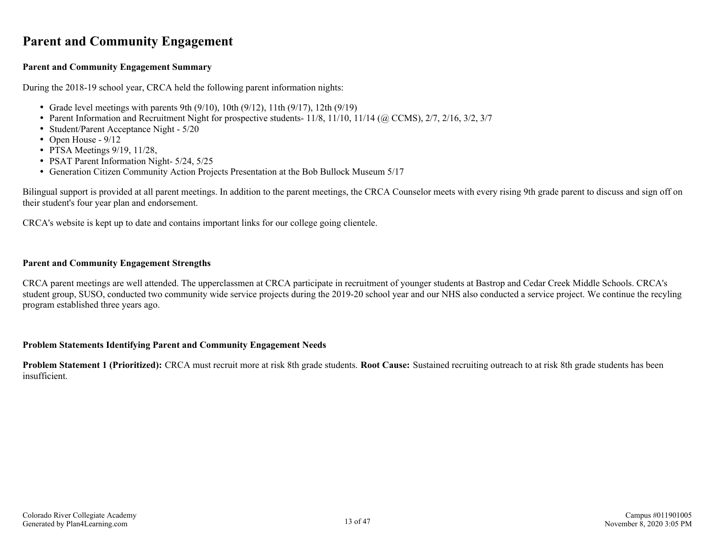## <span id="page-12-0"></span>**Parent and Community Engagement**

#### **Parent and Community Engagement Summary**

During the 2018-19 school year, CRCA held the following parent information nights:

- Grade level meetings with parents 9th  $(9/10)$ , 10th  $(9/12)$ , 11th  $(9/17)$ , 12th  $(9/19)$
- Parent Information and Recruitment Night for prospective students- 11/8, 11/10, 11/14 (@ CCMS), 2/7, 2/16, 3/2, 3/7
- Student/Parent Acceptance Night 5/20
- Open House  $9/12$
- PTSA Meetings  $9/19$ ,  $11/28$ ,
- PSAT Parent Information Night- 5/24, 5/25
- Generation Citizen Community Action Projects Presentation at the Bob Bullock Museum 5/17

Bilingual support is provided at all parent meetings. In addition to the parent meetings, the CRCA Counselor meets with every rising 9th grade parent to discuss and sign off on their student's four year plan and endorsement.

CRCA's website is kept up to date and contains important links for our college going clientele.

#### **Parent and Community Engagement Strengths**

CRCA parent meetings are well attended. The upperclassmen at CRCA participate in recruitment of younger students at Bastrop and Cedar Creek Middle Schools. CRCA's student group, SUSO, conducted two community wide service projects during the 2019-20 school year and our NHS also conducted a service project. We continue the recyling program established three years ago.

#### **Problem Statements Identifying Parent and Community Engagement Needs**

**Problem Statement 1 (Prioritized):** CRCA must recruit more at risk 8th grade students. **Root Cause:** Sustained recruiting outreach to at risk 8th grade students has been insufficient.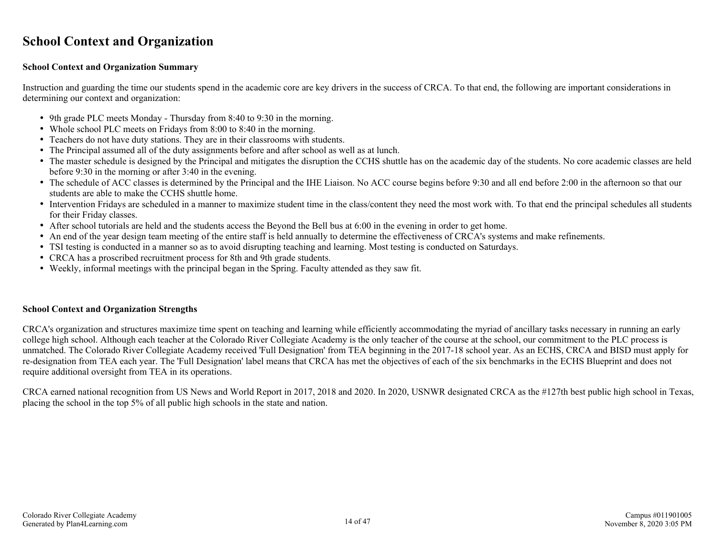## <span id="page-13-0"></span>**School Context and Organization**

#### **School Context and Organization Summary**

Instruction and guarding the time our students spend in the academic core are key drivers in the success of CRCA. To that end, the following are important considerations in determining our context and organization:

- 9th grade PLC meets Monday Thursday from 8:40 to 9:30 in the morning.
- Whole school PLC meets on Fridays from 8:00 to 8:40 in the morning.
- Teachers do not have duty stations. They are in their classrooms with students.
- The Principal assumed all of the duty assignments before and after school as well as at lunch.
- The master schedule is designed by the Principal and mitigates the disruption the CCHS shuttle has on the academic day of the students. No core academic classes are held before 9:30 in the morning or after 3:40 in the evening.
- The schedule of ACC classes is determined by the Principal and the IHE Liaison. No ACC course begins before 9:30 and all end before 2:00 in the afternoon so that our students are able to make the CCHS shuttle home.
- Intervention Fridays are scheduled in a manner to maximize student time in the class/content they need the most work with. To that end the principal schedules all students for their Friday classes.
- After school tutorials are held and the students access the Beyond the Bell bus at 6:00 in the evening in order to get home.
- An end of the year design team meeting of the entire staff is held annually to determine the effectiveness of CRCA's systems and make refinements.
- TSI testing is conducted in a manner so as to avoid disrupting teaching and learning. Most testing is conducted on Saturdays.
- CRCA has a proscribed recruitment process for 8th and 9th grade students.
- Weekly, informal meetings with the principal began in the Spring. Faculty attended as they saw fit.

#### **School Context and Organization Strengths**

CRCA's organization and structures maximize time spent on teaching and learning while efficiently accommodating the myriad of ancillary tasks necessary in running an early college high school. Although each teacher at the Colorado River Collegiate Academy is the only teacher of the course at the school, our commitment to the PLC process is unmatched. The Colorado River Collegiate Academy received 'Full Designation' from TEA beginning in the 2017-18 school year. As an ECHS, CRCA and BISD must apply for re-designation from TEA each year. The 'Full Designation' label means that CRCA has met the objectives of each of the six benchmarks in the ECHS Blueprint and does not require additional oversight from TEA in its operations.

CRCA earned national recognition from US News and World Report in 2017, 2018 and 2020. In 2020, USNWR designated CRCA as the #127th best public high school in Texas, placing the school in the top 5% of all public high schools in the state and nation.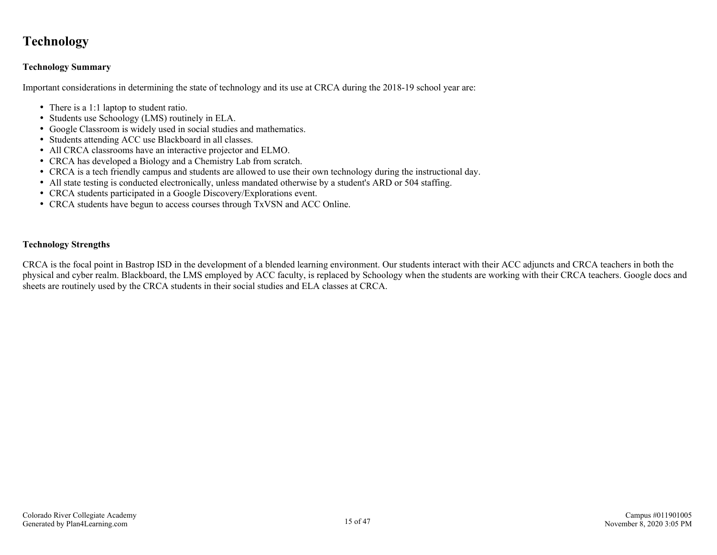## <span id="page-14-0"></span>**Technology**

#### **Technology Summary**

Important considerations in determining the state of technology and its use at CRCA during the 2018-19 school year are:

- There is a 1:1 laptop to student ratio.
- Students use Schoology (LMS) routinely in ELA.
- Google Classroom is widely used in social studies and mathematics.
- Students attending ACC use Blackboard in all classes.
- All CRCA classrooms have an interactive projector and ELMO.
- CRCA has developed a Biology and a Chemistry Lab from scratch.
- CRCA is a tech friendly campus and students are allowed to use their own technology during the instructional day.
- All state testing is conducted electronically, unless mandated otherwise by a student's ARD or 504 staffing.
- CRCA students participated in a Google Discovery/Explorations event.
- CRCA students have begun to access courses through TxVSN and ACC Online.

#### **Technology Strengths**

CRCA is the focal point in Bastrop ISD in the development of a blended learning environment. Our students interact with their ACC adjuncts and CRCA teachers in both the physical and cyber realm. Blackboard, the LMS employed by ACC faculty, is replaced by Schoology when the students are working with their CRCA teachers. Google docs and sheets are routinely used by the CRCA students in their social studies and ELA classes at CRCA.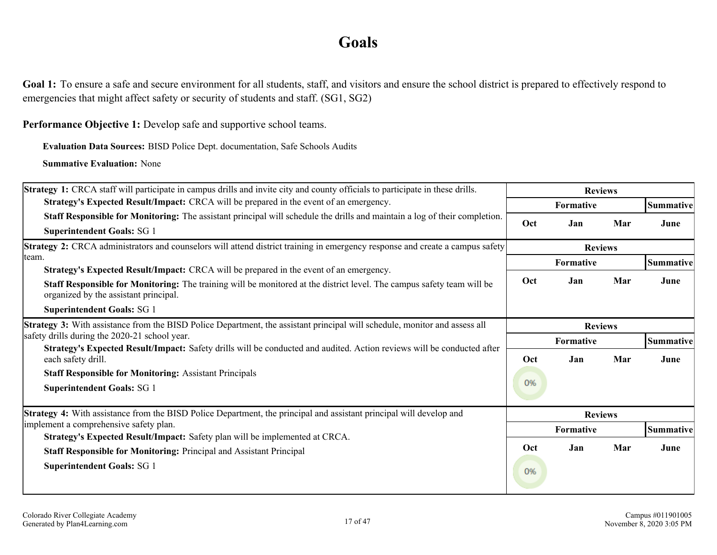## **Goals**

<span id="page-15-0"></span>Goal 1: To ensure a safe and secure environment for all students, staff, and visitors and ensure the school district is prepared to effectively respond to emergencies that might affect safety or security of students and staff. (SG1, SG2)

**Performance Objective 1:** Develop safe and supportive school teams.

**Evaluation Data Sources:** BISD Police Dept. documentation, Safe Schools Audits

| <b>Strategy 1:</b> CRCA staff will participate in campus drills and invite city and county officials to participate in these drills.                                                                                                                                                                                                                                                         |           | <b>Reviews</b>                     |     |                   |
|----------------------------------------------------------------------------------------------------------------------------------------------------------------------------------------------------------------------------------------------------------------------------------------------------------------------------------------------------------------------------------------------|-----------|------------------------------------|-----|-------------------|
| Strategy's Expected Result/Impact: CRCA will be prepared in the event of an emergency.                                                                                                                                                                                                                                                                                                       |           | Formative                          |     | Summative         |
| Staff Responsible for Monitoring: The assistant principal will schedule the drills and maintain a log of their completion.<br><b>Superintendent Goals: SG 1</b>                                                                                                                                                                                                                              | Oct       | Jan                                | Mar | June              |
| <b>Strategy 2:</b> CRCA administrators and counselors will attend district training in emergency response and create a campus safety                                                                                                                                                                                                                                                         |           | <b>Reviews</b>                     |     |                   |
| Iteam.<br><b>Strategy's Expected Result/Impact:</b> CRCA will be prepared in the event of an emergency.<br>Staff Responsible for Monitoring: The training will be monitored at the district level. The campus safety team will be<br>organized by the assistant principal.                                                                                                                   | Oct       | Formative<br>Jan                   | Mar | Summative<br>June |
| <b>Superintendent Goals: SG 1</b>                                                                                                                                                                                                                                                                                                                                                            |           |                                    |     |                   |
| Strategy 3: With assistance from the BISD Police Department, the assistant principal will schedule, monitor and assess all<br>safety drills during the 2020-21 school year.<br>Strategy's Expected Result/Impact: Safety drills will be conducted and audited. Action reviews will be conducted after<br>each safety drill.<br><b>Staff Responsible for Monitoring: Assistant Principals</b> | Oct<br>0% | <b>Reviews</b><br>Formative<br>Jan | Mar | Summative<br>June |
| <b>Superintendent Goals: SG 1</b>                                                                                                                                                                                                                                                                                                                                                            |           |                                    |     |                   |
| <b>Strategy 4:</b> With assistance from the BISD Police Department, the principal and assistant principal will develop and<br>implement a comprehensive safety plan.                                                                                                                                                                                                                         |           | <b>Reviews</b>                     |     |                   |
| Strategy's Expected Result/Impact: Safety plan will be implemented at CRCA.                                                                                                                                                                                                                                                                                                                  |           | Formative                          |     | Summative         |
| <b>Staff Responsible for Monitoring: Principal and Assistant Principal</b>                                                                                                                                                                                                                                                                                                                   | Oct       | Jan                                | Mar | June              |
| <b>Superintendent Goals: SG 1</b>                                                                                                                                                                                                                                                                                                                                                            | 0%        |                                    |     |                   |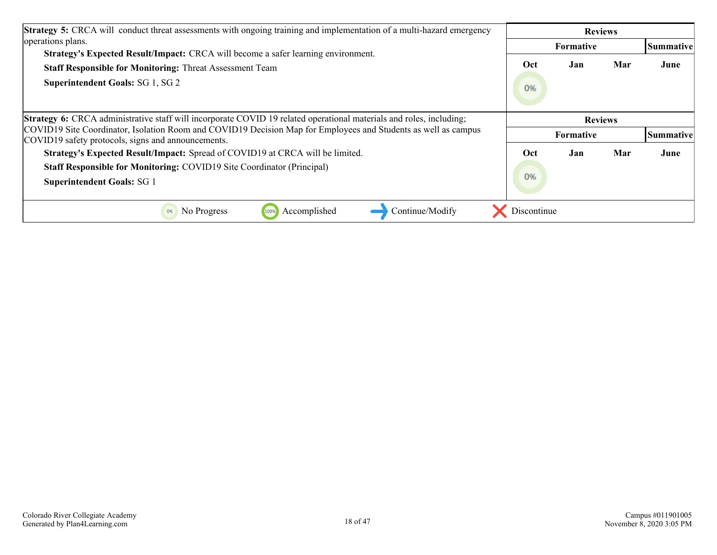| <b>Strategy 5:</b> CRCA will conduct threat assessments with ongoing training and implementation of a multi-hazard emergency                                         |                | <b>Reviews</b>   |     |                  |  |
|----------------------------------------------------------------------------------------------------------------------------------------------------------------------|----------------|------------------|-----|------------------|--|
| operations plans.                                                                                                                                                    |                | <b>Formative</b> |     | <b>Summative</b> |  |
| Strategy's Expected Result/Impact: CRCA will become a safer learning environment.                                                                                    |                |                  |     |                  |  |
| <b>Staff Responsible for Monitoring: Threat Assessment Team</b>                                                                                                      | Oct            | Jan              | Mar | June             |  |
| <b>Superintendent Goals: SG 1, SG 2</b>                                                                                                                              | 0%             |                  |     |                  |  |
| <b>Strategy 6:</b> CRCA administrative staff will incorporate COVID 19 related operational materials and roles, including;                                           | <b>Reviews</b> |                  |     |                  |  |
| COVID19 Site Coordinator, Isolation Room and COVID19 Decision Map for Employees and Students as well as campus<br>COVID19 safety protocols, signs and announcements. |                | <b>Formative</b> |     | Summative        |  |
| Strategy's Expected Result/Impact: Spread of COVID19 at CRCA will be limited.                                                                                        | Oct            | Jan              | Mar | June             |  |
| <b>Staff Responsible for Monitoring: COVID19 Site Coordinator (Principal)</b>                                                                                        |                |                  |     |                  |  |
| <b>Superintendent Goals: SG 1</b>                                                                                                                                    | 0%             |                  |     |                  |  |
| Accomplished<br>Continue/Modify<br>No Progress<br>100%<br>0%                                                                                                         | Discontinue    |                  |     |                  |  |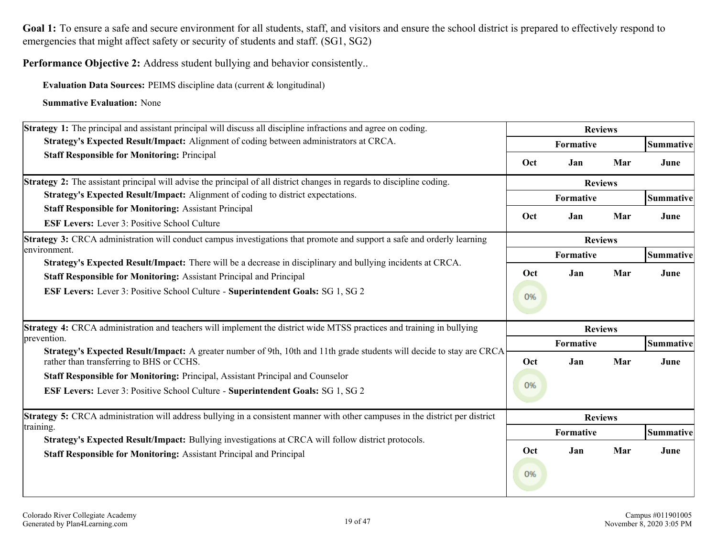Goal 1: To ensure a safe and secure environment for all students, staff, and visitors and ensure the school district is prepared to effectively respond to emergencies that might affect safety or security of students and staff. (SG1, SG2)

**Performance Objective 2:** Address student bullying and behavior consistently..

**Evaluation Data Sources:** PEIMS discipline data (current & longitudinal)

| <b>Strategy 1:</b> The principal and assistant principal will discuss all discipline infractions and agree on coding.                                                                     | <b>Reviews</b> |                |     |           |  |
|-------------------------------------------------------------------------------------------------------------------------------------------------------------------------------------------|----------------|----------------|-----|-----------|--|
| Strategy's Expected Result/Impact: Alignment of coding between administrators at CRCA.                                                                                                    |                | Formative      |     | Summative |  |
| <b>Staff Responsible for Monitoring: Principal</b>                                                                                                                                        | Oct            | Jan            | Mar | June      |  |
| <b>Strategy 2:</b> The assistant principal will advise the principal of all district changes in regards to discipline coding.                                                             |                | <b>Reviews</b> |     |           |  |
| Strategy's Expected Result/Impact: Alignment of coding to district expectations.                                                                                                          |                | Formative      |     | Summative |  |
| <b>Staff Responsible for Monitoring: Assistant Principal</b>                                                                                                                              | Oct            | Jan            | Mar | June      |  |
| <b>ESF Levers:</b> Lever 3: Positive School Culture                                                                                                                                       |                |                |     |           |  |
| <b>Strategy 3:</b> CRCA administration will conduct campus investigations that promote and support a safe and orderly learning                                                            | <b>Reviews</b> |                |     |           |  |
| environment.                                                                                                                                                                              |                | Formative      |     | Summative |  |
| Strategy's Expected Result/Impact: There will be a decrease in disciplinary and bullying incidents at CRCA.<br><b>Staff Responsible for Monitoring: Assistant Principal and Principal</b> | Oct            | Jan            | Mar | June      |  |
|                                                                                                                                                                                           |                |                |     |           |  |
| <b>ESF Levers:</b> Lever 3: Positive School Culture - Superintendent Goals: SG 1, SG 2                                                                                                    | 0%             |                |     |           |  |
|                                                                                                                                                                                           |                |                |     |           |  |
| Strategy 4: CRCA administration and teachers will implement the district wide MTSS practices and training in bullying                                                                     |                | <b>Reviews</b> |     |           |  |
| prevention.                                                                                                                                                                               |                | Formative      |     | Summative |  |
| Strategy's Expected Result/Impact: A greater number of 9th, 10th and 11th grade students will decide to stay are CRCA<br>rather than transferring to BHS or CCHS.                         | Oct            | Jan            | Mar | June      |  |
| Staff Responsible for Monitoring: Principal, Assistant Principal and Counselor                                                                                                            |                |                |     |           |  |
| <b>ESF Levers:</b> Lever 3: Positive School Culture - Superintendent Goals: SG 1, SG 2                                                                                                    | 0%             |                |     |           |  |
|                                                                                                                                                                                           |                |                |     |           |  |
| <b>Strategy 5:</b> CRCA administration will address bullying in a consistent manner with other campuses in the district per district                                                      |                | <b>Reviews</b> |     |           |  |
| training.                                                                                                                                                                                 |                | Formative      |     | Summative |  |
| Strategy's Expected Result/Impact: Bullying investigations at CRCA will follow district protocols.                                                                                        | Oct            | Jan            | Mar | June      |  |
| <b>Staff Responsible for Monitoring: Assistant Principal and Principal</b>                                                                                                                |                |                |     |           |  |
|                                                                                                                                                                                           | 0%             |                |     |           |  |
|                                                                                                                                                                                           |                |                |     |           |  |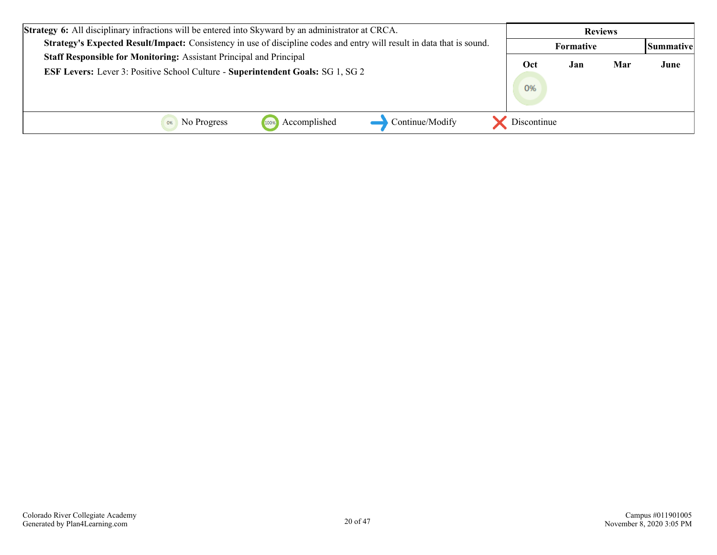| <b>Strategy 6:</b> All disciplinary infractions will be entered into Skyward by an administrator at CRCA.                     |             | <b>Reviews</b> |     |                   |
|-------------------------------------------------------------------------------------------------------------------------------|-------------|----------------|-----|-------------------|
| <b>Strategy's Expected Result/Impact:</b> Consistency in use of discipline codes and entry will result in data that is sound. |             | Formative      |     | <b> Summative</b> |
| Staff Responsible for Monitoring: Assistant Principal and Principal                                                           | Oct         | Jan            | Mar | June              |
| <b>ESF Levers:</b> Lever 3: Positive School Culture - Superintendent Goals: SG 1, SG 2                                        |             |                |     |                   |
|                                                                                                                               | 0%          |                |     |                   |
|                                                                                                                               |             |                |     |                   |
| Accomplished<br>Continue/Modify<br>No Progress<br>1009                                                                        | Discontinue |                |     |                   |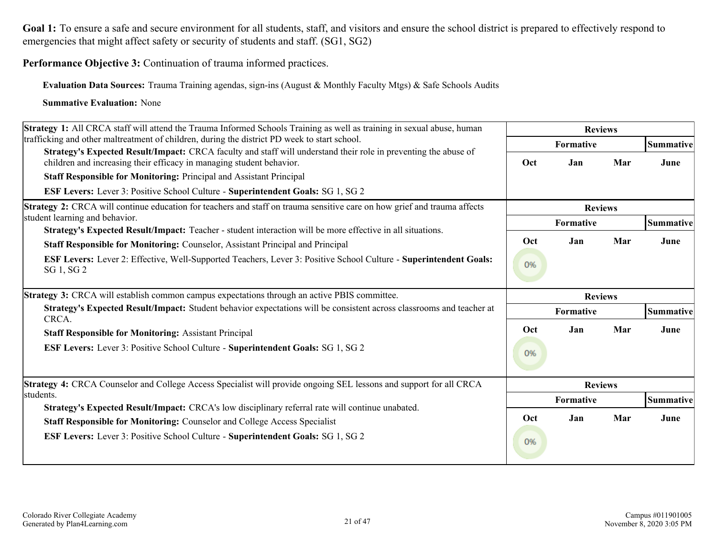Goal 1: To ensure a safe and secure environment for all students, staff, and visitors and ensure the school district is prepared to effectively respond to emergencies that might affect safety or security of students and staff. (SG1, SG2)

**Performance Objective 3:** Continuation of trauma informed practices.

**Evaluation Data Sources:** Trauma Training agendas, sign-ins (August & Monthly Faculty Mtgs) & Safe Schools Audits

| Strategy 1: All CRCA staff will attend the Trauma Informed Schools Training as well as training in sexual abuse, human                                                                  | <b>Reviews</b> |                |     |                  |  |
|-----------------------------------------------------------------------------------------------------------------------------------------------------------------------------------------|----------------|----------------|-----|------------------|--|
| trafficking and other maltreatment of children, during the district PD week to start school.                                                                                            |                | Formative      |     | Summative        |  |
| Strategy's Expected Result/Impact: CRCA faculty and staff will understand their role in preventing the abuse of<br>children and increasing their efficacy in managing student behavior. | Oct            | Jan            | Mar | June             |  |
| <b>Staff Responsible for Monitoring: Principal and Assistant Principal</b>                                                                                                              |                |                |     |                  |  |
| ESF Levers: Lever 3: Positive School Culture - Superintendent Goals: SG 1, SG 2                                                                                                         |                |                |     |                  |  |
| Strategy 2: CRCA will continue education for teachers and staff on trauma sensitive care on how grief and trauma affects                                                                | <b>Reviews</b> |                |     |                  |  |
| student learning and behavior.<br>Strategy's Expected Result/Impact: Teacher - student interaction will be more effective in all situations.                                            |                | Formative      |     | <b>Summative</b> |  |
| <b>Staff Responsible for Monitoring: Counselor, Assistant Principal and Principal</b>                                                                                                   | Oct            | Jan            | Mar | June             |  |
| ESF Levers: Lever 2: Effective, Well-Supported Teachers, Lever 3: Positive School Culture - Superintendent Goals:<br>SG 1, SG 2                                                         | 0%             |                |     |                  |  |
| Strategy 3: CRCA will establish common campus expectations through an active PBIS committee.                                                                                            |                | <b>Reviews</b> |     |                  |  |
| Strategy's Expected Result/Impact: Student behavior expectations will be consistent across classrooms and teacher at<br>CRCA.                                                           |                | Formative      |     | Summative        |  |
| <b>Staff Responsible for Monitoring: Assistant Principal</b>                                                                                                                            | Oct            | Jan            | Mar | June             |  |
| <b>ESF Levers:</b> Lever 3: Positive School Culture - Superintendent Goals: SG 1, SG 2                                                                                                  | 0%             |                |     |                  |  |
| <b>Strategy 4: CRCA Counselor and College Access Specialist will provide ongoing SEL lessons and support for all CRCA</b>                                                               |                | <b>Reviews</b> |     |                  |  |
| students.<br>Strategy's Expected Result/Impact: CRCA's low disciplinary referral rate will continue unabated.                                                                           |                | Formative      |     | <b>Summative</b> |  |
| Staff Responsible for Monitoring: Counselor and College Access Specialist                                                                                                               | Oct            | Jan            | Mar | June             |  |
| <b>ESF Levers:</b> Lever 3: Positive School Culture - Superintendent Goals: SG 1, SG 2                                                                                                  | 0%             |                |     |                  |  |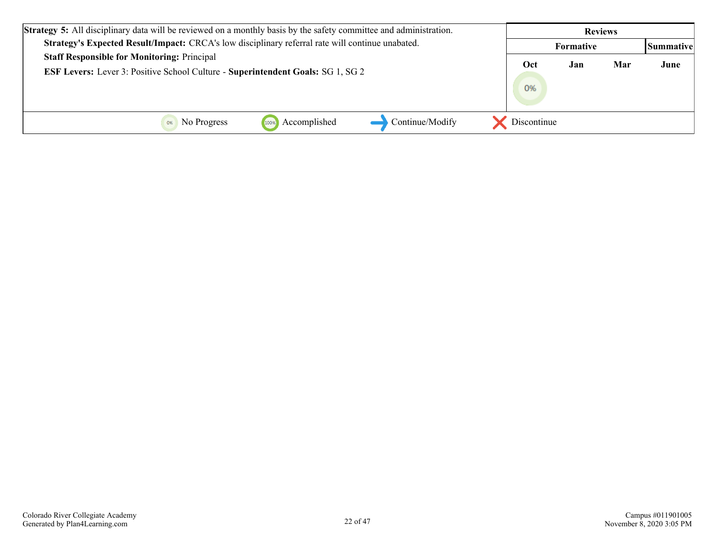| <b>Strategy 5:</b> All disciplinary data will be reviewed on a monthly basis by the safety committee and administration. | <b>Reviews</b> |                  |     |                   |
|--------------------------------------------------------------------------------------------------------------------------|----------------|------------------|-----|-------------------|
| Strategy's Expected Result/Impact: CRCA's low disciplinary referral rate will continue unabated.                         |                | <b>Formative</b> |     | <b> Summative</b> |
| <b>Staff Responsible for Monitoring: Principal</b>                                                                       | Oct            | Jan              | Mar | June              |
| <b>ESF Levers:</b> Lever 3: Positive School Culture - Superintendent Goals: SG 1, SG 2                                   | 0%             |                  |     |                   |
| Continue/Modify<br>Accomplished<br>No Progress<br>100%                                                                   | Discontinue    |                  |     |                   |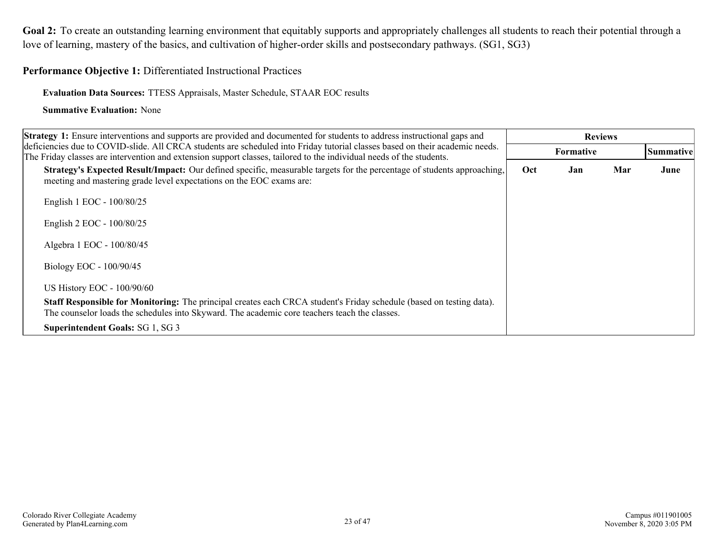<span id="page-21-0"></span>**Performance Objective 1:** Differentiated Instructional Practices

**Evaluation Data Sources:** TTESS Appraisals, Master Schedule, STAAR EOC results

| <b>Strategy 1:</b> Ensure interventions and supports are provided and documented for students to address instructional gaps and                                                                                                                      |     |                  |     |                  |
|------------------------------------------------------------------------------------------------------------------------------------------------------------------------------------------------------------------------------------------------------|-----|------------------|-----|------------------|
| deficiencies due to COVID-slide. All CRCA students are scheduled into Friday tutorial classes based on their academic needs.<br>The Friday classes are intervention and extension support classes, tailored to the individual needs of the students. |     | <b>Formative</b> |     | <b>Summative</b> |
| Strategy's Expected Result/Impact: Our defined specific, measurable targets for the percentage of students approaching,<br>meeting and mastering grade level expectations on the EOC exams are:                                                      | Oct | Jan              | Mar | June             |
| English 1 EOC - 100/80/25                                                                                                                                                                                                                            |     |                  |     |                  |
| English 2 EOC - 100/80/25                                                                                                                                                                                                                            |     |                  |     |                  |
| Algebra 1 EOC - 100/80/45                                                                                                                                                                                                                            |     |                  |     |                  |
| Biology EOC - 100/90/45                                                                                                                                                                                                                              |     |                  |     |                  |
| <b>US History EOC - 100/90/60</b>                                                                                                                                                                                                                    |     |                  |     |                  |
| <b>Staff Responsible for Monitoring:</b> The principal creates each CRCA student's Friday schedule (based on testing data).<br>The counselor loads the schedules into Skyward. The academic core teachers teach the classes.                         |     |                  |     |                  |
| <b>Superintendent Goals: SG 1, SG 3</b>                                                                                                                                                                                                              |     |                  |     |                  |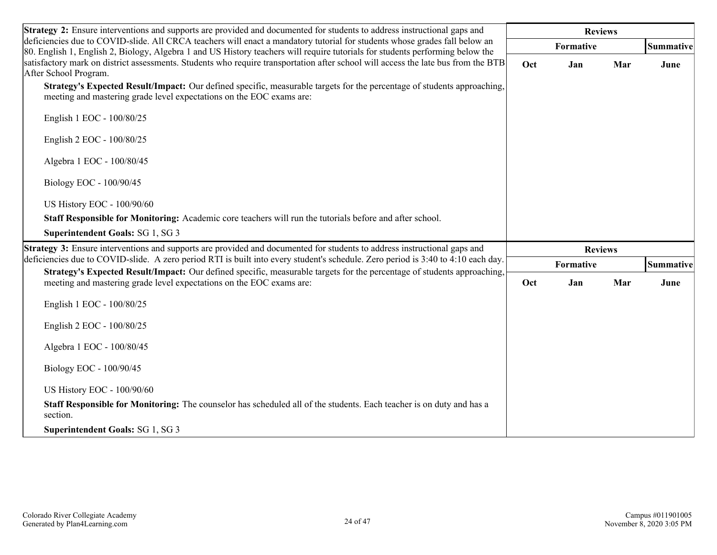| <b>Strategy 2:</b> Ensure interventions and supports are provided and documented for students to address instructional gaps and                                                                                                                             | <b>Reviews</b> |                  |     |           |  |  |
|-------------------------------------------------------------------------------------------------------------------------------------------------------------------------------------------------------------------------------------------------------------|----------------|------------------|-----|-----------|--|--|
| deficiencies due to COVID-slide. All CRCA teachers will enact a mandatory tutorial for students whose grades fall below an<br>80. English 1, English 2, Biology, Algebra 1 and US History teachers will require tutorials for students performing below the |                | <b>Formative</b> |     | Summative |  |  |
| satisfactory mark on district assessments. Students who require transportation after school will access the late bus from the BTB<br>After School Program.                                                                                                  | Oct            | Jan              | Mar | June      |  |  |
| Strategy's Expected Result/Impact: Our defined specific, measurable targets for the percentage of students approaching,<br>meeting and mastering grade level expectations on the EOC exams are:                                                             |                |                  |     |           |  |  |
| English 1 EOC - 100/80/25                                                                                                                                                                                                                                   |                |                  |     |           |  |  |
| English 2 EOC - 100/80/25                                                                                                                                                                                                                                   |                |                  |     |           |  |  |
| Algebra 1 EOC - 100/80/45                                                                                                                                                                                                                                   |                |                  |     |           |  |  |
| Biology EOC - 100/90/45                                                                                                                                                                                                                                     |                |                  |     |           |  |  |
| US History EOC - 100/90/60                                                                                                                                                                                                                                  |                |                  |     |           |  |  |
| Staff Responsible for Monitoring: Academic core teachers will run the tutorials before and after school.                                                                                                                                                    |                |                  |     |           |  |  |
| Superintendent Goals: SG 1, SG 3                                                                                                                                                                                                                            |                |                  |     |           |  |  |
| <b>Strategy 3:</b> Ensure interventions and supports are provided and documented for students to address instructional gaps and                                                                                                                             |                | <b>Reviews</b>   |     |           |  |  |
| deficiencies due to COVID-slide. A zero period RTI is built into every student's schedule. Zero period is 3:40 to 4:10 each day.<br>Strategy's Expected Result/Impact: Our defined specific, measurable targets for the percentage of students approaching, |                | Formative        |     | Summative |  |  |
| meeting and mastering grade level expectations on the EOC exams are:                                                                                                                                                                                        | Oct            | Jan              | Mar | June      |  |  |
| English 1 EOC - 100/80/25                                                                                                                                                                                                                                   |                |                  |     |           |  |  |
| English 2 EOC - 100/80/25                                                                                                                                                                                                                                   |                |                  |     |           |  |  |
| Algebra 1 EOC - 100/80/45                                                                                                                                                                                                                                   |                |                  |     |           |  |  |
| Biology EOC - 100/90/45                                                                                                                                                                                                                                     |                |                  |     |           |  |  |
| US History EOC - 100/90/60                                                                                                                                                                                                                                  |                |                  |     |           |  |  |
| Staff Responsible for Monitoring: The counselor has scheduled all of the students. Each teacher is on duty and has a<br>section.                                                                                                                            |                |                  |     |           |  |  |
| <b>Superintendent Goals: SG 1, SG 3</b>                                                                                                                                                                                                                     |                |                  |     |           |  |  |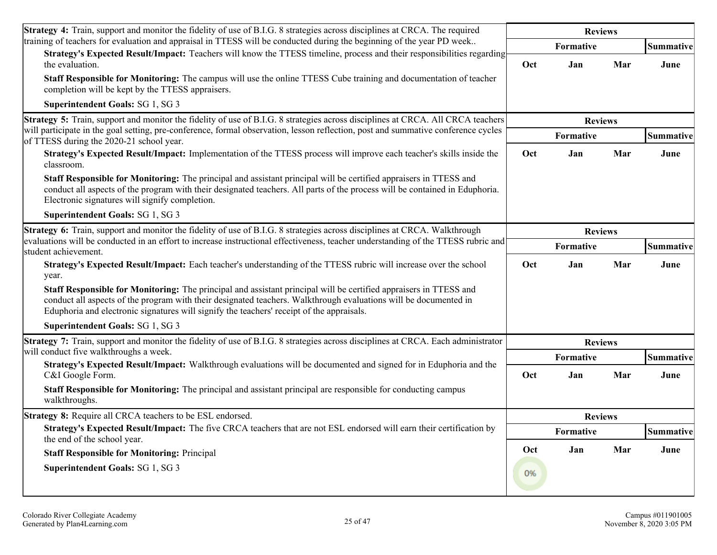| <b>Strategy 4:</b> Train, support and monitor the fidelity of use of B.I.G. 8 strategies across disciplines at CRCA. The required                                                                                                                                                                                                  | <b>Reviews</b> |                  |     |                  |
|------------------------------------------------------------------------------------------------------------------------------------------------------------------------------------------------------------------------------------------------------------------------------------------------------------------------------------|----------------|------------------|-----|------------------|
| training of teachers for evaluation and appraisal in TTESS will be conducted during the beginning of the year PD week<br>Strategy's Expected Result/Impact: Teachers will know the TTESS timeline, process and their responsibilities regarding                                                                                    |                | Formative        |     | <b>Summative</b> |
| the evaluation.                                                                                                                                                                                                                                                                                                                    | Oct            | Jan              | Mar | June             |
| Staff Responsible for Monitoring: The campus will use the online TTESS Cube training and documentation of teacher<br>completion will be kept by the TTESS appraisers.                                                                                                                                                              |                |                  |     |                  |
| Superintendent Goals: SG 1, SG 3                                                                                                                                                                                                                                                                                                   |                |                  |     |                  |
| Strategy 5: Train, support and monitor the fidelity of use of B.I.G. 8 strategies across disciplines at CRCA. All CRCA teachers                                                                                                                                                                                                    |                | <b>Reviews</b>   |     |                  |
| will participate in the goal setting, pre-conference, formal observation, lesson reflection, post and summative conference cycles<br>of TTESS during the 2020-21 school year.                                                                                                                                                      |                | Formative        |     | <b>Summative</b> |
| Strategy's Expected Result/Impact: Implementation of the TTESS process will improve each teacher's skills inside the<br>classroom.                                                                                                                                                                                                 | Oct            | Jan              | Mar | June             |
| Staff Responsible for Monitoring: The principal and assistant principal will be certified appraisers in TTESS and<br>conduct all aspects of the program with their designated teachers. All parts of the process will be contained in Eduphoria.<br>Electronic signatures will signify completion.                                 |                |                  |     |                  |
| Superintendent Goals: SG 1, SG 3                                                                                                                                                                                                                                                                                                   |                |                  |     |                  |
| Strategy 6: Train, support and monitor the fidelity of use of B.I.G. 8 strategies across disciplines at CRCA. Walkthrough                                                                                                                                                                                                          | <b>Reviews</b> |                  |     |                  |
| evaluations will be conducted in an effort to increase instructional effectiveness, teacher understanding of the TTESS rubric and<br>student achievement.                                                                                                                                                                          |                | Formative        |     |                  |
| Strategy's Expected Result/Impact: Each teacher's understanding of the TTESS rubric will increase over the school<br>year.                                                                                                                                                                                                         | Oct            | Jan              | Mar | June             |
| Staff Responsible for Monitoring: The principal and assistant principal will be certified appraisers in TTESS and<br>conduct all aspects of the program with their designated teachers. Walkthrough evaluations will be documented in<br>Eduphoria and electronic signatures will signify the teachers' receipt of the appraisals. |                |                  |     |                  |
| Superintendent Goals: SG 1, SG 3                                                                                                                                                                                                                                                                                                   |                |                  |     |                  |
| Strategy 7: Train, support and monitor the fidelity of use of B.I.G. 8 strategies across disciplines at CRCA. Each administrator                                                                                                                                                                                                   |                | <b>Reviews</b>   |     |                  |
| will conduct five walkthroughs a week.<br>Strategy's Expected Result/Impact: Walkthrough evaluations will be documented and signed for in Eduphoria and the                                                                                                                                                                        |                | Formative        |     | <b>Summative</b> |
| C&I Google Form.                                                                                                                                                                                                                                                                                                                   | Oct            | Jan              | Mar | June             |
| Staff Responsible for Monitoring: The principal and assistant principal are responsible for conducting campus<br>walkthroughs.                                                                                                                                                                                                     |                |                  |     |                  |
| <b>Strategy 8:</b> Require all CRCA teachers to be ESL endorsed.                                                                                                                                                                                                                                                                   |                | <b>Reviews</b>   |     |                  |
| Strategy's Expected Result/Impact: The five CRCA teachers that are not ESL endorsed will earn their certification by<br>the end of the school year.                                                                                                                                                                                |                | <b>Formative</b> |     | <b>Summative</b> |
| <b>Staff Responsible for Monitoring: Principal</b>                                                                                                                                                                                                                                                                                 | Oct            | Jan              | Mar | June             |
| Superintendent Goals: SG 1, SG 3                                                                                                                                                                                                                                                                                                   | 0%             |                  |     |                  |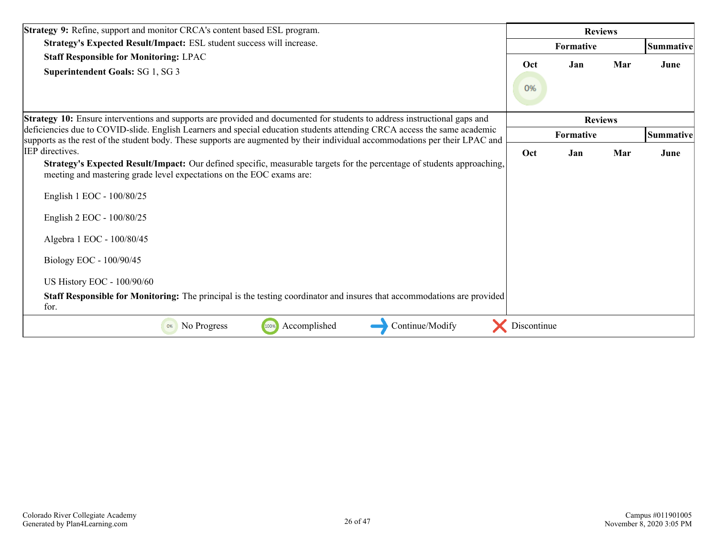| Strategy 9: Refine, support and monitor CRCA's content based ESL program.                                                                                                                                                                                |             | <b>Reviews</b> |     |           |
|----------------------------------------------------------------------------------------------------------------------------------------------------------------------------------------------------------------------------------------------------------|-------------|----------------|-----|-----------|
| Strategy's Expected Result/Impact: ESL student success will increase.                                                                                                                                                                                    |             | Formative      |     | Summative |
| <b>Staff Responsible for Monitoring: LPAC</b><br>Superintendent Goals: SG 1, SG 3                                                                                                                                                                        | Oct<br>0%   | Jan            | Mar | June      |
| <b>Strategy 10:</b> Ensure interventions and supports are provided and documented for students to address instructional gaps and                                                                                                                         |             | <b>Reviews</b> |     |           |
| deficiencies due to COVID-slide. English Learners and special education students attending CRCA access the same academic<br>supports as the rest of the student body. These supports are augmented by their individual accommodations per their LPAC and |             | Formative      |     | Summative |
| IEP directives.<br>Strategy's Expected Result/Impact: Our defined specific, measurable targets for the percentage of students approaching,<br>meeting and mastering grade level expectations on the EOC exams are:                                       | Oct         | Jan            | Mar | June      |
| English 1 EOC - 100/80/25                                                                                                                                                                                                                                |             |                |     |           |
| English 2 EOC - 100/80/25                                                                                                                                                                                                                                |             |                |     |           |
| Algebra 1 EOC - 100/80/45                                                                                                                                                                                                                                |             |                |     |           |
| Biology EOC - 100/90/45                                                                                                                                                                                                                                  |             |                |     |           |
| US History EOC - 100/90/60                                                                                                                                                                                                                               |             |                |     |           |
| <b>Staff Responsible for Monitoring:</b> The principal is the testing coordinator and insures that accommodations are provided<br>for.                                                                                                                   |             |                |     |           |
| Accomplished<br>Continue/Modify<br>No Progress<br>100%<br>0%                                                                                                                                                                                             | Discontinue |                |     |           |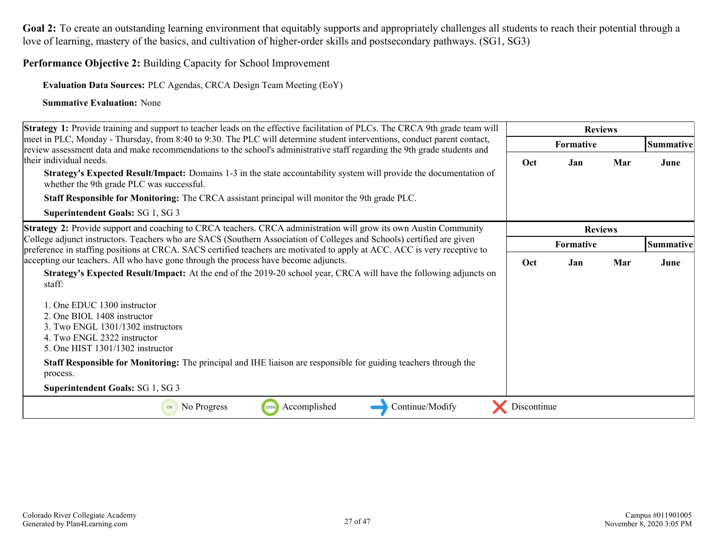**Performance Objective 2:** Building Capacity for School Improvement

**Evaluation Data Sources:** PLC Agendas, CRCA Design Team Meeting (EoY)

| Strategy 1: Provide training and support to teacher leads on the effective facilitation of PLCs. The CRCA 9th grade team will                                                                                                                                                                                                                                                                                                                                                                                                                                        | <b>Reviews</b> |                  |     |                  |
|----------------------------------------------------------------------------------------------------------------------------------------------------------------------------------------------------------------------------------------------------------------------------------------------------------------------------------------------------------------------------------------------------------------------------------------------------------------------------------------------------------------------------------------------------------------------|----------------|------------------|-----|------------------|
| meet in PLC, Monday - Thursday, from 8:40 to 9:30. The PLC will determine student interventions, conduct parent contact,<br>review assessment data and make recommendations to the school's administrative staff regarding the 9th grade students and                                                                                                                                                                                                                                                                                                                |                | <b>Formative</b> |     | <b>Summative</b> |
| ltheir individual needs.<br><b>Strategy's Expected Result/Impact:</b> Domains 1-3 in the state accountability system will provide the documentation of<br>whether the 9th grade PLC was successful.                                                                                                                                                                                                                                                                                                                                                                  | Oct            | Jan              | Mar | June             |
| <b>Staff Responsible for Monitoring:</b> The CRCA assistant principal will monitor the 9th grade PLC.                                                                                                                                                                                                                                                                                                                                                                                                                                                                |                |                  |     |                  |
| Superintendent Goals: SG 1, SG 3                                                                                                                                                                                                                                                                                                                                                                                                                                                                                                                                     |                |                  |     |                  |
| Strategy 2: Provide support and coaching to CRCA teachers. CRCA administration will grow its own Austin Community                                                                                                                                                                                                                                                                                                                                                                                                                                                    |                | <b>Reviews</b>   |     |                  |
| College adjunct instructors. Teachers who are SACS (Southern Association of Colleges and Schools) certified are given<br>preference in staffing positions at CRCA. SACS certified teachers are motivated to apply at ACC. ACC is very receptive to                                                                                                                                                                                                                                                                                                                   | Formative      |                  |     | <b>Summative</b> |
| accepting our teachers. All who have gone through the process have become adjuncts.<br>Strategy's Expected Result/Impact: At the end of the 2019-20 school year, CRCA will have the following adjuncts on<br>staff:<br>1. One EDUC 1300 instructor<br>2. One BIOL 1408 instructor<br>3. Two ENGL 1301/1302 instructors<br>4. Two ENGL 2322 instructor<br>5. One HIST 1301/1302 instructor<br>Staff Responsible for Monitoring: The principal and IHE liaison are responsible for guiding teachers through the<br>process.<br><b>Superintendent Goals: SG 1, SG 3</b> | Oct            | Jan              | Mar | June             |
| Accomplished<br>No Progress<br>Continue/Modify<br>100%<br>0%                                                                                                                                                                                                                                                                                                                                                                                                                                                                                                         | Discontinue    |                  |     |                  |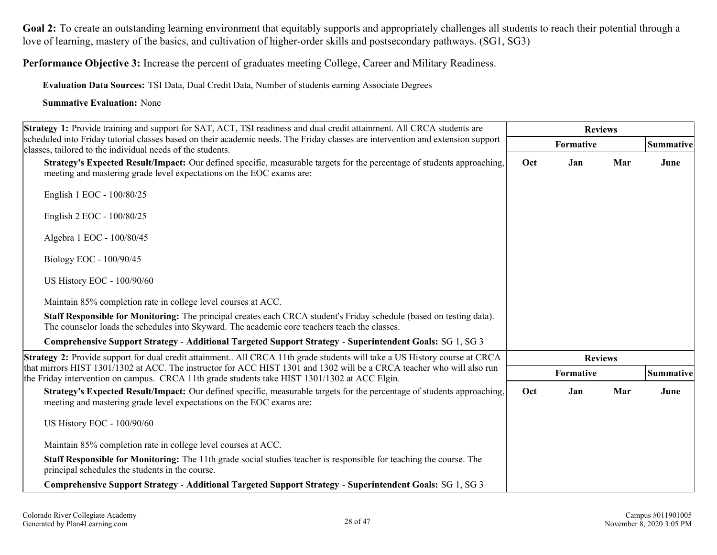**Performance Objective 3:** Increase the percent of graduates meeting College, Career and Military Readiness.

**Evaluation Data Sources:** TSI Data, Dual Credit Data, Number of students earning Associate Degrees

| Strategy 1: Provide training and support for SAT, ACT, TSI readiness and dual credit attainment. All CRCA students are                                                                                                  | <b>Reviews</b> |                  |                |           |
|-------------------------------------------------------------------------------------------------------------------------------------------------------------------------------------------------------------------------|----------------|------------------|----------------|-----------|
| scheduled into Friday tutorial classes based on their academic needs. The Friday classes are intervention and extension support<br>classes, tailored to the individual needs of the students.                           |                | Formative        |                | Summative |
| Strategy's Expected Result/Impact: Our defined specific, measurable targets for the percentage of students approaching,<br>meeting and mastering grade level expectations on the EOC exams are:                         | Oct            | Jan              | Mar            | June      |
| English 1 EOC - 100/80/25                                                                                                                                                                                               |                |                  |                |           |
| English 2 EOC - 100/80/25                                                                                                                                                                                               |                |                  |                |           |
| Algebra 1 EOC - 100/80/45                                                                                                                                                                                               |                |                  |                |           |
| Biology EOC - 100/90/45                                                                                                                                                                                                 |                |                  |                |           |
| US History EOC - 100/90/60                                                                                                                                                                                              |                |                  |                |           |
| Maintain 85% completion rate in college level courses at ACC.                                                                                                                                                           |                |                  |                |           |
| Staff Responsible for Monitoring: The principal creates each CRCA student's Friday schedule (based on testing data).<br>The counselor loads the schedules into Skyward. The academic core teachers teach the classes.   |                |                  |                |           |
| Comprehensive Support Strategy - Additional Targeted Support Strategy - Superintendent Goals: SG 1, SG 3                                                                                                                |                |                  |                |           |
| <b>Strategy 2:</b> Provide support for dual credit attainment All CRCA 11th grade students will take a US History course at CRCA                                                                                        |                |                  | <b>Reviews</b> |           |
| that mirrors HIST 1301/1302 at ACC. The instructor for ACC HIST 1301 and 1302 will be a CRCA teacher who will also run<br>the Friday intervention on campus. CRCA 11th grade students take HIST 1301/1302 at ACC Elgin. |                | <b>Formative</b> |                | Summative |
| Strategy's Expected Result/Impact: Our defined specific, measurable targets for the percentage of students approaching,<br>meeting and mastering grade level expectations on the EOC exams are:                         | Oct            | Jan              | Mar            | June      |
| US History EOC - 100/90/60                                                                                                                                                                                              |                |                  |                |           |
| Maintain 85% completion rate in college level courses at ACC.                                                                                                                                                           |                |                  |                |           |
| <b>Staff Responsible for Monitoring:</b> The 11th grade social studies teacher is responsible for teaching the course. The<br>principal schedules the students in the course.                                           |                |                  |                |           |
| Comprehensive Support Strategy - Additional Targeted Support Strategy - Superintendent Goals: SG 1, SG 3                                                                                                                |                |                  |                |           |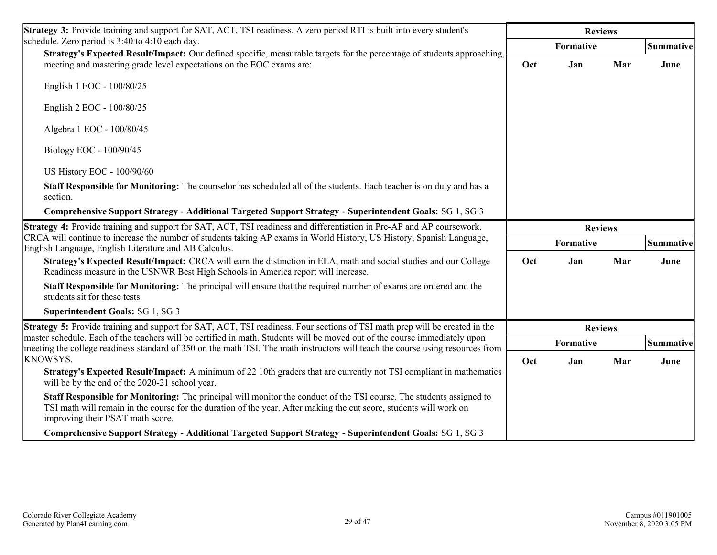| <b>Strategy 3:</b> Provide training and support for SAT, ACT, TSI readiness. A zero period RTI is built into every student's                                                                                                                                                   | <b>Reviews</b> |                |     |                  |
|--------------------------------------------------------------------------------------------------------------------------------------------------------------------------------------------------------------------------------------------------------------------------------|----------------|----------------|-----|------------------|
| schedule. Zero period is 3:40 to 4:10 each day.                                                                                                                                                                                                                                |                | Formative      |     | <b>Summative</b> |
| Strategy's Expected Result/Impact: Our defined specific, measurable targets for the percentage of students approaching,<br>meeting and mastering grade level expectations on the EOC exams are:                                                                                | Oct            | Jan            | Mar | June             |
| English 1 EOC - 100/80/25                                                                                                                                                                                                                                                      |                |                |     |                  |
| English 2 EOC - 100/80/25                                                                                                                                                                                                                                                      |                |                |     |                  |
| Algebra 1 EOC - 100/80/45                                                                                                                                                                                                                                                      |                |                |     |                  |
| Biology EOC - 100/90/45                                                                                                                                                                                                                                                        |                |                |     |                  |
| US History EOC - 100/90/60                                                                                                                                                                                                                                                     |                |                |     |                  |
| Staff Responsible for Monitoring: The counselor has scheduled all of the students. Each teacher is on duty and has a<br>section.                                                                                                                                               |                |                |     |                  |
| Comprehensive Support Strategy - Additional Targeted Support Strategy - Superintendent Goals: SG 1, SG 3                                                                                                                                                                       |                |                |     |                  |
| Strategy 4: Provide training and support for SAT, ACT, TSI readiness and differentiation in Pre-AP and AP coursework.                                                                                                                                                          | <b>Reviews</b> |                |     |                  |
| CRCA will continue to increase the number of students taking AP exams in World History, US History, Spanish Language,<br>English Language, English Literature and AB Calculus.                                                                                                 | Formative      |                |     | Summative        |
| Strategy's Expected Result/Impact: CRCA will earn the distinction in ELA, math and social studies and our College<br>Readiness measure in the USNWR Best High Schools in America report will increase.                                                                         | Oct            | Jan            | Mar | June             |
| Staff Responsible for Monitoring: The principal will ensure that the required number of exams are ordered and the<br>students sit for these tests.                                                                                                                             |                |                |     |                  |
| <b>Superintendent Goals: SG 1, SG 3</b>                                                                                                                                                                                                                                        |                |                |     |                  |
| <b>Strategy 5:</b> Provide training and support for SAT, ACT, TSI readiness. Four sections of TSI math prep will be created in the                                                                                                                                             |                | <b>Reviews</b> |     |                  |
| master schedule. Each of the teachers will be certified in math. Students will be moved out of the course immediately upon<br>meeting the college readiness standard of 350 on the math TSI. The math instructors will teach the course using resources from                   |                | Formative      |     | Summative        |
| <b>KNOWSYS.</b>                                                                                                                                                                                                                                                                | Oct            | Jan            | Mar | June             |
| <b>Strategy's Expected Result/Impact:</b> A minimum of 22 10th graders that are currently not TSI compliant in mathematics<br>will be by the end of the 2020-21 school year.                                                                                                   |                |                |     |                  |
| Staff Responsible for Monitoring: The principal will monitor the conduct of the TSI course. The students assigned to<br>TSI math will remain in the course for the duration of the year. After making the cut score, students will work on<br>improving their PSAT math score. |                |                |     |                  |
| Comprehensive Support Strategy - Additional Targeted Support Strategy - Superintendent Goals: SG 1, SG 3                                                                                                                                                                       |                |                |     |                  |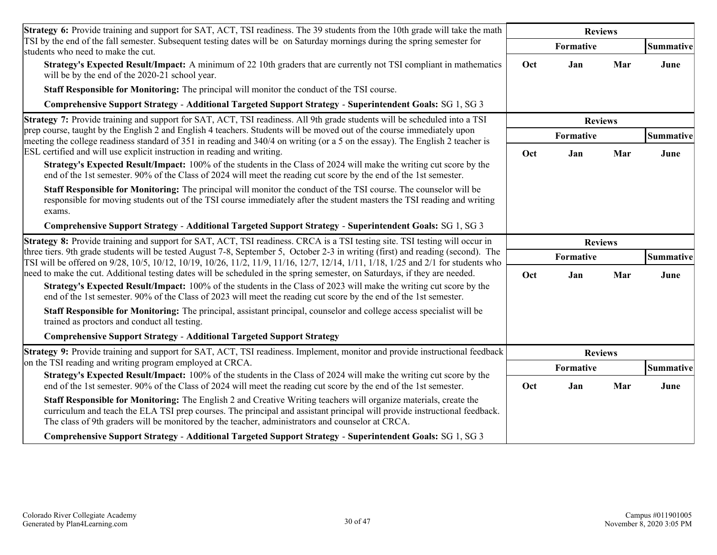| <b>Strategy 6:</b> Provide training and support for SAT, ACT, TSI readiness. The 39 students from the 10th grade will take the math                                                                                                                                                                                                                                                                 | <b>Reviews</b>   |                  |     |           |
|-----------------------------------------------------------------------------------------------------------------------------------------------------------------------------------------------------------------------------------------------------------------------------------------------------------------------------------------------------------------------------------------------------|------------------|------------------|-----|-----------|
| TSI by the end of the fall semester. Subsequent testing dates will be on Saturday mornings during the spring semester for<br>students who need to make the cut.                                                                                                                                                                                                                                     |                  | <b>Formative</b> |     | Summative |
| <b>Strategy's Expected Result/Impact:</b> A minimum of 22 10th graders that are currently not TSI compliant in mathematics<br>will be by the end of the 2020-21 school year.                                                                                                                                                                                                                        | Oct              | Jan              | Mar | June      |
| Staff Responsible for Monitoring: The principal will monitor the conduct of the TSI course.                                                                                                                                                                                                                                                                                                         |                  |                  |     |           |
| Comprehensive Support Strategy - Additional Targeted Support Strategy - Superintendent Goals: SG 1, SG 3                                                                                                                                                                                                                                                                                            |                  |                  |     |           |
| <b>Strategy 7:</b> Provide training and support for SAT, ACT, TSI readiness. All 9th grade students will be scheduled into a TSI                                                                                                                                                                                                                                                                    |                  | <b>Reviews</b>   |     |           |
| prep course, taught by the English 2 and English 4 teachers. Students will be moved out of the course immediately upon<br>meeting the college readiness standard of 351 in reading and 340/4 on writing (or a 5 on the essay). The English 2 teacher is                                                                                                                                             | <b>Formative</b> |                  |     | Summative |
| ESL certified and will use explicit instruction in reading and writing.<br><b>Strategy's Expected Result/Impact:</b> 100% of the students in the Class of 2024 will make the writing cut score by the<br>end of the 1st semester. 90% of the Class of 2024 will meet the reading cut score by the end of the 1st semester.                                                                          | Oct              | Jan              | Mar | June      |
| Staff Responsible for Monitoring: The principal will monitor the conduct of the TSI course. The counselor will be<br>responsible for moving students out of the TSI course immediately after the student masters the TSI reading and writing<br>exams.                                                                                                                                              |                  |                  |     |           |
| Comprehensive Support Strategy - Additional Targeted Support Strategy - Superintendent Goals: SG 1, SG 3                                                                                                                                                                                                                                                                                            |                  |                  |     |           |
| <b>Strategy 8:</b> Provide training and support for SAT, ACT, TSI readiness. CRCA is a TSI testing site. TSI testing will occur in                                                                                                                                                                                                                                                                  | <b>Reviews</b>   |                  |     |           |
| three tiers. 9th grade students will be tested August 7-8, September 5, October 2-3 in writing (first) and reading (second). The<br>TSI will be offered on 9/28, 10/5, 10/12, 10/19, 10/26, 11/2, 11/9, 11/16, 12/7, 12/14, 1/11, 1/18, 1/25 and 2/1 for students who<br>need to make the cut. Additional testing dates will be scheduled in the spring semester, on Saturdays, if they are needed. |                  | Formative        |     | Summative |
| <b>Strategy's Expected Result/Impact:</b> 100% of the students in the Class of 2023 will make the writing cut score by the<br>end of the 1st semester. 90% of the Class of 2023 will meet the reading cut score by the end of the 1st semester.                                                                                                                                                     | Oct              | Jan              | Mar | June      |
| Staff Responsible for Monitoring: The principal, assistant principal, counselor and college access specialist will be<br>trained as proctors and conduct all testing.                                                                                                                                                                                                                               |                  |                  |     |           |
| <b>Comprehensive Support Strategy - Additional Targeted Support Strategy</b>                                                                                                                                                                                                                                                                                                                        |                  |                  |     |           |
| <b>Strategy 9:</b> Provide training and support for SAT, ACT, TSI readiness. Implement, monitor and provide instructional feedback                                                                                                                                                                                                                                                                  | <b>Reviews</b>   |                  |     |           |
| on the TSI reading and writing program employed at CRCA.<br>Strategy's Expected Result/Impact: 100% of the students in the Class of 2024 will make the writing cut score by the                                                                                                                                                                                                                     | Formative        |                  |     | Summative |
| end of the 1st semester. 90% of the Class of 2024 will meet the reading cut score by the end of the 1st semester.                                                                                                                                                                                                                                                                                   | Oct              | Jan              | Mar | June      |
| <b>Staff Responsible for Monitoring:</b> The English 2 and Creative Writing teachers will organize materials, create the<br>curriculum and teach the ELA TSI prep courses. The principal and assistant principal will provide instructional feedback.<br>The class of 9th graders will be monitored by the teacher, administrators and counselor at CRCA.                                           |                  |                  |     |           |
| Comprehensive Support Strategy - Additional Targeted Support Strategy - Superintendent Goals: SG 1, SG 3                                                                                                                                                                                                                                                                                            |                  |                  |     |           |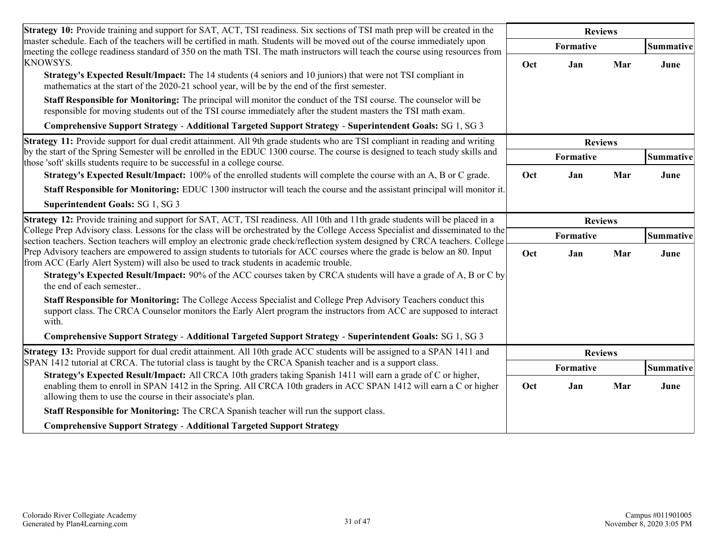| Strategy 10: Provide training and support for SAT, ACT, TSI readiness. Six sections of TSI math prep will be created in the                                                                                                                                                                        | <b>Reviews</b>   |                |           |           |
|----------------------------------------------------------------------------------------------------------------------------------------------------------------------------------------------------------------------------------------------------------------------------------------------------|------------------|----------------|-----------|-----------|
| master schedule. Each of the teachers will be certified in math. Students will be moved out of the course immediately upon<br>meeting the college readiness standard of 350 on the math TSI. The math instructors will teach the course using resources from                                       |                  | Formative      |           | Summative |
| <b>KNOWSYS.</b><br>Strategy's Expected Result/Impact: The 14 students (4 seniors and 10 juniors) that were not TSI compliant in<br>mathematics at the start of the 2020-21 school year, will be by the end of the first semester.                                                                  | Oct              | Jan            | Mar       | June      |
| Staff Responsible for Monitoring: The principal will monitor the conduct of the TSI course. The counselor will be<br>responsible for moving students out of the TSI course immediately after the student masters the TSI math exam.                                                                |                  |                |           |           |
| Comprehensive Support Strategy - Additional Targeted Support Strategy - Superintendent Goals: SG 1, SG 3                                                                                                                                                                                           |                  |                |           |           |
| Strategy 11: Provide support for dual credit attainment. All 9th grade students who are TSI compliant in reading and writing<br>by the start of the Spring Semester will be enrolled in the EDUC 1300 course. The course is designed to teach study skills and                                     |                  | <b>Reviews</b> |           |           |
| those 'soft' skills students require to be successful in a college course.                                                                                                                                                                                                                         | <b>Formative</b> |                | Summative |           |
| Strategy's Expected Result/Impact: 100% of the enrolled students will complete the course with an A, B or C grade.                                                                                                                                                                                 | Oct              | Jan            | Mar       | June      |
| Staff Responsible for Monitoring: EDUC 1300 instructor will teach the course and the assistant principal will monitor it.                                                                                                                                                                          |                  |                |           |           |
| Superintendent Goals: SG 1, SG 3                                                                                                                                                                                                                                                                   |                  |                |           |           |
| Strategy 12: Provide training and support for SAT, ACT, TSI readiness. All 10th and 11th grade students will be placed in a                                                                                                                                                                        | <b>Reviews</b>   |                |           |           |
| College Prep Advisory class. Lessons for the class will be orchestrated by the College Access Specialist and disseminated to the<br>section teachers. Section teachers will employ an electronic grade check/reflection system designed by CRCA teachers. College                                  | Formative        |                | Summative |           |
| Prep Advisory teachers are empowered to assign students to tutorials for ACC courses where the grade is below an 80. Input<br>from ACC (Early Alert System) will also be used to track students in academic trouble.                                                                               | Oct              | Jan            | Mar       | June      |
| Strategy's Expected Result/Impact: 90% of the ACC courses taken by CRCA students will have a grade of A, B or C by<br>the end of each semester                                                                                                                                                     |                  |                |           |           |
| Staff Responsible for Monitoring: The College Access Specialist and College Prep Advisory Teachers conduct this<br>support class. The CRCA Counselor monitors the Early Alert program the instructors from ACC are supposed to interact<br>with.                                                   |                  |                |           |           |
| Comprehensive Support Strategy - Additional Targeted Support Strategy - Superintendent Goals: SG 1, SG 3                                                                                                                                                                                           |                  |                |           |           |
| Strategy 13: Provide support for dual credit attainment. All 10th grade ACC students will be assigned to a SPAN 1411 and                                                                                                                                                                           |                  | <b>Reviews</b> |           |           |
| SPAN 1412 tutorial at CRCA. The tutorial class is taught by the CRCA Spanish teacher and is a support class.                                                                                                                                                                                       | Formative        |                | Summative |           |
| Strategy's Expected Result/Impact: All CRCA 10th graders taking Spanish 1411 will earn a grade of C or higher,<br>enabling them to enroll in SPAN 1412 in the Spring. All CRCA 10th graders in ACC SPAN 1412 will earn a C or higher<br>allowing them to use the course in their associate's plan. | Oct              | Jan            | Mar       | June      |
| Staff Responsible for Monitoring: The CRCA Spanish teacher will run the support class.                                                                                                                                                                                                             |                  |                |           |           |
| <b>Comprehensive Support Strategy - Additional Targeted Support Strategy</b>                                                                                                                                                                                                                       |                  |                |           |           |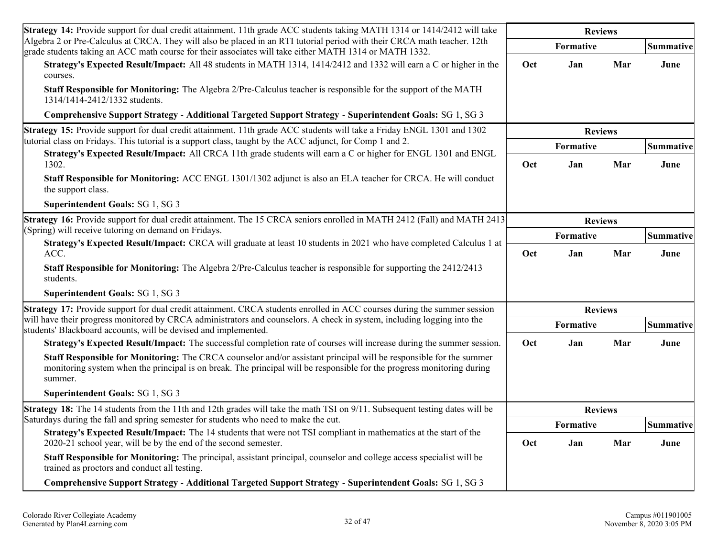| <b>Strategy 14:</b> Provide support for dual credit attainment. 11th grade ACC students taking MATH 1314 or 1414/2412 will take                                                                                                                         | <b>Reviews</b> |                         |     |                   |
|---------------------------------------------------------------------------------------------------------------------------------------------------------------------------------------------------------------------------------------------------------|----------------|-------------------------|-----|-------------------|
| Algebra 2 or Pre-Calculus at CRCA. They will also be placed in an RTI tutorial period with their CRCA math teacher. 12th<br>grade students taking an ACC math course for their associates will take either MATH 1314 or MATH 1332.                      |                | Formative               |     | Summative         |
| Strategy's Expected Result/Impact: All 48 students in MATH 1314, 1414/2412 and 1332 will earn a C or higher in the<br>courses.                                                                                                                          | Oct            | Jan                     | Mar | June              |
| Staff Responsible for Monitoring: The Algebra 2/Pre-Calculus teacher is responsible for the support of the MATH<br>1314/1414-2412/1332 students.                                                                                                        |                |                         |     |                   |
| Comprehensive Support Strategy - Additional Targeted Support Strategy - Superintendent Goals: SG 1, SG 3                                                                                                                                                |                |                         |     |                   |
| Strategy 15: Provide support for dual credit attainment. 11th grade ACC students will take a Friday ENGL 1301 and 1302<br>tutorial class on Fridays. This tutorial is a support class, taught by the ACC adjunct, for Comp 1 and 2.                     |                | <b>Reviews</b>          |     |                   |
| Strategy's Expected Result/Impact: All CRCA 11th grade students will earn a C or higher for ENGL 1301 and ENGL<br>1302.                                                                                                                                 | Oct            | <b>Formative</b><br>Jan | Mar | Summative<br>June |
| Staff Responsible for Monitoring: ACC ENGL 1301/1302 adjunct is also an ELA teacher for CRCA. He will conduct<br>the support class.                                                                                                                     |                |                         |     |                   |
| Superintendent Goals: SG 1, SG 3                                                                                                                                                                                                                        |                |                         |     |                   |
| Strategy 16: Provide support for dual credit attainment. The 15 CRCA seniors enrolled in MATH 2412 (Fall) and MATH 2413                                                                                                                                 | <b>Reviews</b> |                         |     |                   |
| (Spring) will receive tutoring on demand on Fridays.                                                                                                                                                                                                    |                | Formative               |     | Summative         |
| Strategy's Expected Result/Impact: CRCA will graduate at least 10 students in 2021 who have completed Calculus 1 at<br>ACC.                                                                                                                             | Oct            | Jan                     | Mar | June              |
| <b>Staff Responsible for Monitoring:</b> The Algebra 2/Pre-Calculus teacher is responsible for supporting the 2412/2413<br>students.                                                                                                                    |                |                         |     |                   |
| Superintendent Goals: SG 1, SG 3                                                                                                                                                                                                                        |                |                         |     |                   |
| Strategy 17: Provide support for dual credit attainment. CRCA students enrolled in ACC courses during the summer session                                                                                                                                |                | <b>Reviews</b>          |     |                   |
| will have their progress monitored by CRCA administrators and counselors. A check in system, including logging into the<br>students' Blackboard accounts, will be devised and implemented.                                                              |                | Formative               |     | Summative         |
| Strategy's Expected Result/Impact: The successful completion rate of courses will increase during the summer session.                                                                                                                                   | Oct            | Jan                     | Mar | June              |
| Staff Responsible for Monitoring: The CRCA counselor and/or assistant principal will be responsible for the summer<br>monitoring system when the principal is on break. The principal will be responsible for the progress monitoring during<br>summer. |                |                         |     |                   |
| Superintendent Goals: SG 1, SG 3                                                                                                                                                                                                                        |                |                         |     |                   |
| Strategy 18: The 14 students from the 11th and 12th grades will take the math TSI on 9/11. Subsequent testing dates will be                                                                                                                             | <b>Reviews</b> |                         |     |                   |
| Saturdays during the fall and spring semester for students who need to make the cut.                                                                                                                                                                    | Formative      |                         |     | Summative         |
| Strategy's Expected Result/Impact: The 14 students that were not TSI compliant in mathematics at the start of the<br>2020-21 school year, will be by the end of the second semester.                                                                    | Oct            | Jan                     | Mar | June              |
| Staff Responsible for Monitoring: The principal, assistant principal, counselor and college access specialist will be<br>trained as proctors and conduct all testing.                                                                                   |                |                         |     |                   |
| Comprehensive Support Strategy - Additional Targeted Support Strategy - Superintendent Goals: SG 1, SG 3                                                                                                                                                |                |                         |     |                   |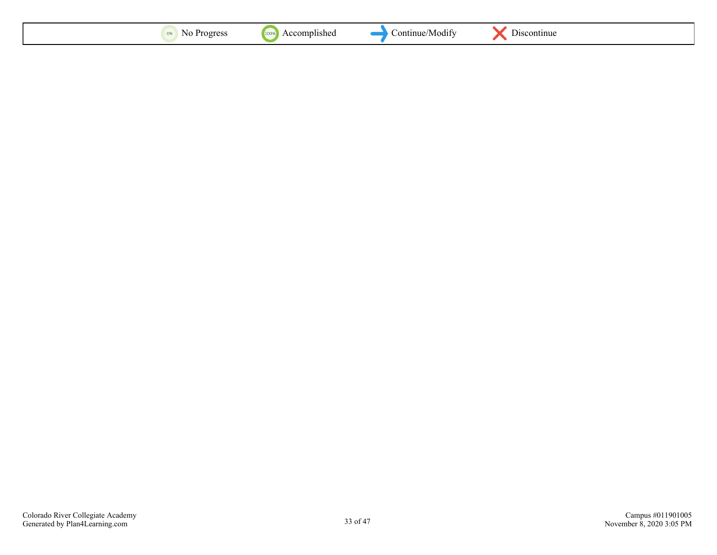| $\sim$<br>NG.<br>, UX | 100 <sub>9</sub><br>:omplishec<br>$A_{1}$ | continue/<br>M0d11 | <b>Discontinue</b> |  |
|-----------------------|-------------------------------------------|--------------------|--------------------|--|
|-----------------------|-------------------------------------------|--------------------|--------------------|--|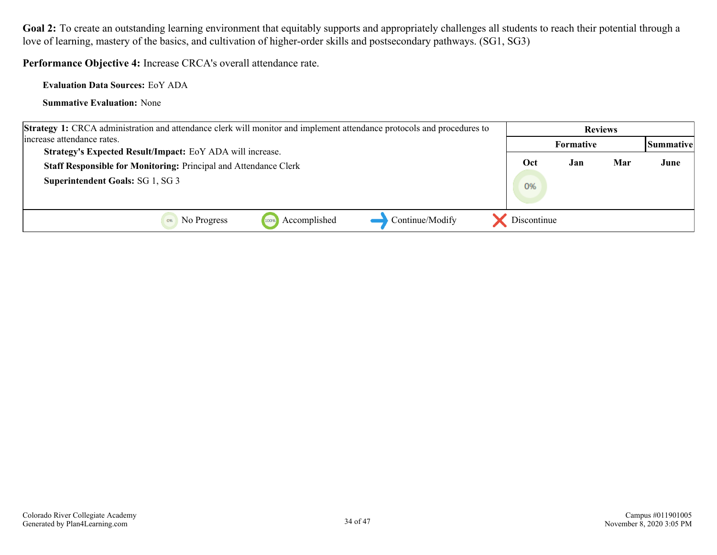**Performance Objective 4:** Increase CRCA's overall attendance rate.

**Evaluation Data Sources:** EoY ADA

| <b>Strategy 1:</b> CRCA administration and attendance clerk will monitor and implement attendance protocols and procedures to | <b>Reviews</b> |                  |     |           |
|-------------------------------------------------------------------------------------------------------------------------------|----------------|------------------|-----|-----------|
| lincrease attendance rates.                                                                                                   |                | <b>Formative</b> |     | Summative |
| Strategy's Expected Result/Impact: EoY ADA will increase.                                                                     |                |                  |     |           |
| Staff Responsible for Monitoring: Principal and Attendance Clerk                                                              | Oct            | Jan              | Mar | June      |
| <b>Superintendent Goals: SG 1, SG 3</b>                                                                                       | 0%             |                  |     |           |
| Continue/Modify<br>Accomplished<br>No Progress<br>100%                                                                        | Discontinue    |                  |     |           |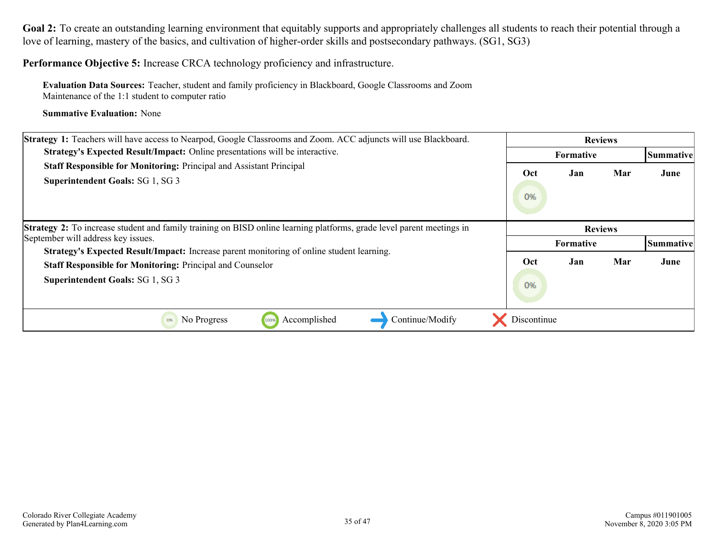**Performance Objective 5:** Increase CRCA technology proficiency and infrastructure.

**Evaluation Data Sources:** Teacher, student and family proficiency in Blackboard, Google Classrooms and Zoom Maintenance of the 1:1 student to computer ratio

| Strategy 1: Teachers will have access to Nearpod, Google Classrooms and Zoom. ACC adjuncts will use Blackboard.                                                                                          |                                    | <b>Reviews</b>   |     |           |  |
|----------------------------------------------------------------------------------------------------------------------------------------------------------------------------------------------------------|------------------------------------|------------------|-----|-----------|--|
| <b>Strategy's Expected Result/Impact:</b> Online presentations will be interactive.                                                                                                                      |                                    | <b>Formative</b> |     | Summative |  |
| Staff Responsible for Monitoring: Principal and Assistant Principal<br>Superintendent Goals: SG 1, SG 3                                                                                                  | Oct<br>0%                          | Jan              | Mar | June      |  |
| <b>Strategy 2:</b> To increase student and family training on BISD online learning platforms, grade level parent meetings in<br>September will address key issues.                                       | <b>Reviews</b><br><b>Formative</b> |                  |     | Summative |  |
| <b>Strategy's Expected Result/Impact:</b> Increase parent monitoring of online student learning.<br><b>Staff Responsible for Monitoring: Principal and Counselor</b><br>Superintendent Goals: SG 1, SG 3 | Oct<br>0%                          | Jan              | Mar | June      |  |
| Accomplished<br>Continue/Modify<br>No Progress<br>0%<br>100%                                                                                                                                             | Discontinue                        |                  |     |           |  |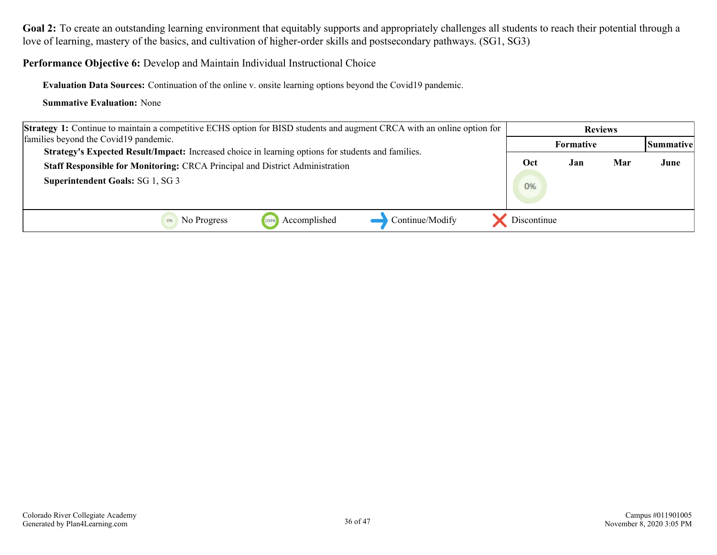**Performance Objective 6:** Develop and Maintain Individual Instructional Choice

**Evaluation Data Sources:** Continuation of the online v. onsite learning options beyond the Covid19 pandemic.

| <b>Strategy 1:</b> Continue to maintain a competitive ECHS option for BISD students and augment CRCA with an online option for                                                     | <b>Reviews</b> |     |     |                  |
|------------------------------------------------------------------------------------------------------------------------------------------------------------------------------------|----------------|-----|-----|------------------|
| families beyond the Covid19 pandemic.                                                                                                                                              | Formative      |     |     | <b>Summative</b> |
| Strategy's Expected Result/Impact: Increased choice in learning options for students and families.<br>Staff Responsible for Monitoring: CRCA Principal and District Administration | Oct            | Jan | Mar | June             |
| <b>Superintendent Goals: SG 1, SG 3</b>                                                                                                                                            | 0%             |     |     |                  |
| Continue/Modify<br>Accomplished<br>No Progress<br>100%                                                                                                                             | Discontinue    |     |     |                  |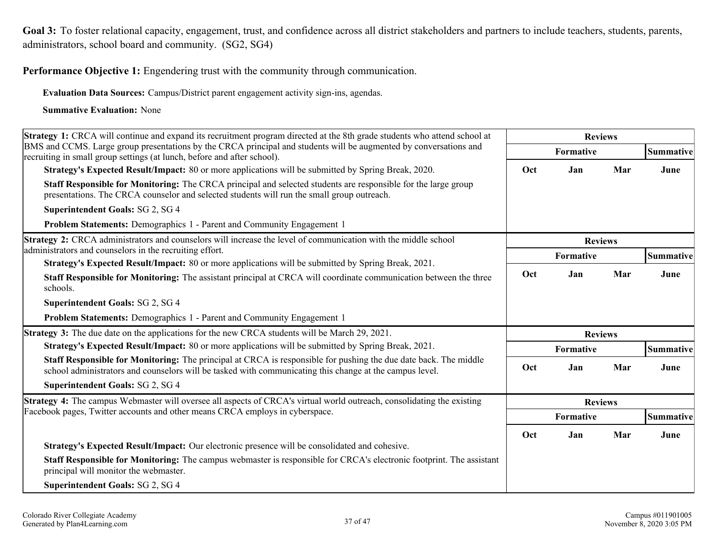<span id="page-35-0"></span>Goal 3: To foster relational capacity, engagement, trust, and confidence across all district stakeholders and partners to include teachers, students, parents, administrators, school board and community. (SG2, SG4)

**Performance Objective 1:** Engendering trust with the community through communication.

**Evaluation Data Sources:** Campus/District parent engagement activity sign-ins, agendas.

| <b>Strategy 1:</b> CRCA will continue and expand its recruitment program directed at the 8th grade students who attend school at                                                                                                   | <b>Reviews</b> |                |     |           |
|------------------------------------------------------------------------------------------------------------------------------------------------------------------------------------------------------------------------------------|----------------|----------------|-----|-----------|
| BMS and CCMS. Large group presentations by the CRCA principal and students will be augmented by conversations and<br>recruiting in small group settings (at lunch, before and after school).                                       | Formative      |                |     | Summative |
| <b>Strategy's Expected Result/Impact:</b> 80 or more applications will be submitted by Spring Break, 2020.                                                                                                                         | Oct            | Jan            | Mar | June      |
| Staff Responsible for Monitoring: The CRCA principal and selected students are responsible for the large group<br>presentations. The CRCA counselor and selected students will run the small group outreach.                       |                |                |     |           |
| Superintendent Goals: SG 2, SG 4                                                                                                                                                                                                   |                |                |     |           |
| Problem Statements: Demographics 1 - Parent and Community Engagement 1                                                                                                                                                             |                |                |     |           |
| Strategy 2: CRCA administrators and counselors will increase the level of communication with the middle school<br>administrators and counselors in the recruiting effort.                                                          |                | <b>Reviews</b> |     |           |
| Strategy's Expected Result/Impact: 80 or more applications will be submitted by Spring Break, 2021.                                                                                                                                |                | Formative      |     | Summative |
| <b>Staff Responsible for Monitoring:</b> The assistant principal at CRCA will coordinate communication between the three<br>schools.                                                                                               |                | Jan            | Mar | June      |
| Superintendent Goals: SG 2, SG 4                                                                                                                                                                                                   |                |                |     |           |
| Problem Statements: Demographics 1 - Parent and Community Engagement 1                                                                                                                                                             |                |                |     |           |
| Strategy 3: The due date on the applications for the new CRCA students will be March 29, 2021.                                                                                                                                     |                | <b>Reviews</b> |     |           |
| <b>Strategy's Expected Result/Impact:</b> 80 or more applications will be submitted by Spring Break, 2021.                                                                                                                         |                | Formative      |     | Summative |
| <b>Staff Responsible for Monitoring:</b> The principal at CRCA is responsible for pushing the due date back. The middle<br>school administrators and counselors will be tasked with communicating this change at the campus level. | Oct            | Jan            | Mar | June      |
| Superintendent Goals: SG 2, SG 4                                                                                                                                                                                                   |                |                |     |           |
| <b>Strategy 4:</b> The campus Webmaster will oversee all aspects of CRCA's virtual world outreach, consolidating the existing                                                                                                      | <b>Reviews</b> |                |     |           |
| Facebook pages, Twitter accounts and other means CRCA employs in cyberspace.                                                                                                                                                       | Formative      |                |     | Summative |
|                                                                                                                                                                                                                                    | Oct            | Jan            | Mar | June      |
| Strategy's Expected Result/Impact: Our electronic presence will be consolidated and cohesive.                                                                                                                                      |                |                |     |           |
| <b>Staff Responsible for Monitoring:</b> The campus webmaster is responsible for CRCA's electronic footprint. The assistant<br>principal will monitor the webmaster.                                                               |                |                |     |           |
| <b>Superintendent Goals: SG 2, SG 4</b>                                                                                                                                                                                            |                |                |     |           |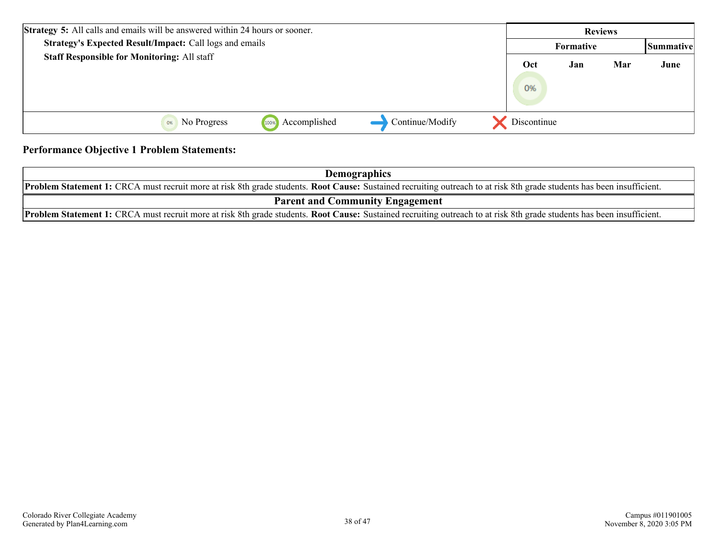| <b>Strategy 5:</b> All calls and emails will be answered within 24 hours or sooner. |             | <b>Reviews</b> |     |                   |
|-------------------------------------------------------------------------------------|-------------|----------------|-----|-------------------|
| Strategy's Expected Result/Impact: Call logs and emails                             |             | Formative      |     | <b>Summativel</b> |
| <b>Staff Responsible for Monitoring: All staff</b>                                  | Oct<br>0%   | Jan            | Mar | June              |
| Continue/Modify<br>Accomplished<br>No Progress<br>100%<br>0%                        | Discontinue |                |     |                   |

#### **Performance Objective 1 Problem Statements:**

| <b>Demographics</b>                                                                                                                                                           |  |  |  |  |  |
|-------------------------------------------------------------------------------------------------------------------------------------------------------------------------------|--|--|--|--|--|
| <b>Problem Statement 1:</b> CRCA must recruit more at risk 8th grade students. Root Cause: Sustained recruiting outreach to at risk 8th grade students has been insufficient. |  |  |  |  |  |
| <b>Parent and Community Engagement</b>                                                                                                                                        |  |  |  |  |  |
| <b>Problem Statement 1:</b> CRCA must recruit more at risk 8th grade students. Root Cause: Sustained recruiting outreach to at risk 8th grade students has been insufficient. |  |  |  |  |  |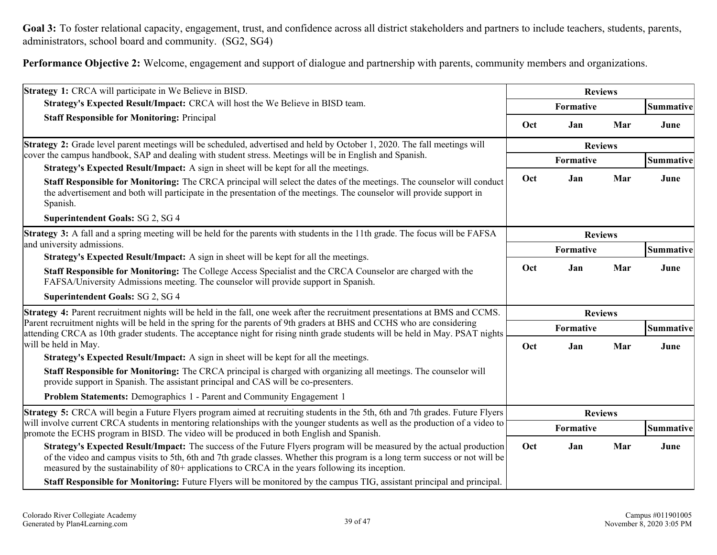Goal 3: To foster relational capacity, engagement, trust, and confidence across all district stakeholders and partners to include teachers, students, parents, administrators, school board and community. (SG2, SG4)

**Performance Objective 2:** Welcome, engagement and support of dialogue and partnership with parents, community members and organizations.

| Strategy 1: CRCA will participate in We Believe in BISD.                                                                                                                                                                                                                                                                                                  | <b>Reviews</b> |                |     |                  |
|-----------------------------------------------------------------------------------------------------------------------------------------------------------------------------------------------------------------------------------------------------------------------------------------------------------------------------------------------------------|----------------|----------------|-----|------------------|
| Strategy's Expected Result/Impact: CRCA will host the We Believe in BISD team.                                                                                                                                                                                                                                                                            |                | Formative      |     | <b>Summative</b> |
| <b>Staff Responsible for Monitoring: Principal</b>                                                                                                                                                                                                                                                                                                        | Oct            | Jan            | Mar | June             |
| Strategy 2: Grade level parent meetings will be scheduled, advertised and held by October 1, 2020. The fall meetings will                                                                                                                                                                                                                                 | <b>Reviews</b> |                |     |                  |
| cover the campus handbook, SAP and dealing with student stress. Meetings will be in English and Spanish.<br>Strategy's Expected Result/Impact: A sign in sheet will be kept for all the meetings.                                                                                                                                                         | Formative      |                |     | Summative        |
| Staff Responsible for Monitoring: The CRCA principal will select the dates of the meetings. The counselor will conduct<br>the advertisement and both will participate in the presentation of the meetings. The counselor will provide support in<br>Spanish.                                                                                              | Oct            | Jan            | Mar | June             |
| <b>Superintendent Goals: SG 2, SG 4</b>                                                                                                                                                                                                                                                                                                                   |                |                |     |                  |
| Strategy 3: A fall and a spring meeting will be held for the parents with students in the 11th grade. The focus will be FAFSA                                                                                                                                                                                                                             |                | <b>Reviews</b> |     |                  |
| and university admissions.                                                                                                                                                                                                                                                                                                                                |                | Formative      |     | <b>Summative</b> |
| Strategy's Expected Result/Impact: A sign in sheet will be kept for all the meetings.<br>Staff Responsible for Monitoring: The College Access Specialist and the CRCA Counselor are charged with the<br>FAFSA/University Admissions meeting. The counselor will provide support in Spanish.                                                               | Oct            | Jan            | Mar | June             |
| Superintendent Goals: SG 2, SG 4                                                                                                                                                                                                                                                                                                                          |                |                |     |                  |
| Strategy 4: Parent recruitment nights will be held in the fall, one week after the recruitment presentations at BMS and CCMS.                                                                                                                                                                                                                             |                | <b>Reviews</b> |     |                  |
| Parent recruitment nights will be held in the spring for the parents of 9th graders at BHS and CCHS who are considering<br>attending CRCA as 10th grader students. The acceptance night for rising ninth grade students will be held in May. PSAT nights                                                                                                  | Formative      |                |     | Summative        |
| will be held in May.                                                                                                                                                                                                                                                                                                                                      | Oct            | Jan            | Mar | June             |
| <b>Strategy's Expected Result/Impact:</b> A sign in sheet will be kept for all the meetings.                                                                                                                                                                                                                                                              |                |                |     |                  |
| Staff Responsible for Monitoring: The CRCA principal is charged with organizing all meetings. The counselor will<br>provide support in Spanish. The assistant principal and CAS will be co-presenters.                                                                                                                                                    |                |                |     |                  |
| Problem Statements: Demographics 1 - Parent and Community Engagement 1                                                                                                                                                                                                                                                                                    |                |                |     |                  |
| <b>Strategy 5:</b> CRCA will begin a Future Flyers program aimed at recruiting students in the 5th, 6th and 7th grades. Future Flyers                                                                                                                                                                                                                     | <b>Reviews</b> |                |     |                  |
| will involve current CRCA students in mentoring relationships with the younger students as well as the production of a video to<br>promote the ECHS program in BISD. The video will be produced in both English and Spanish.                                                                                                                              | Formative      |                |     | Summative        |
| Strategy's Expected Result/Impact: The success of the Future Flyers program will be measured by the actual production<br>of the video and campus visits to 5th, 6th and 7th grade classes. Whether this program is a long term success or not will be<br>measured by the sustainability of 80+ applications to CRCA in the years following its inception. | Oct            | Jan            | Mar | June             |
| <b>Staff Responsible for Monitoring:</b> Future Flyers will be monitored by the campus TIG, assistant principal and principal.                                                                                                                                                                                                                            |                |                |     |                  |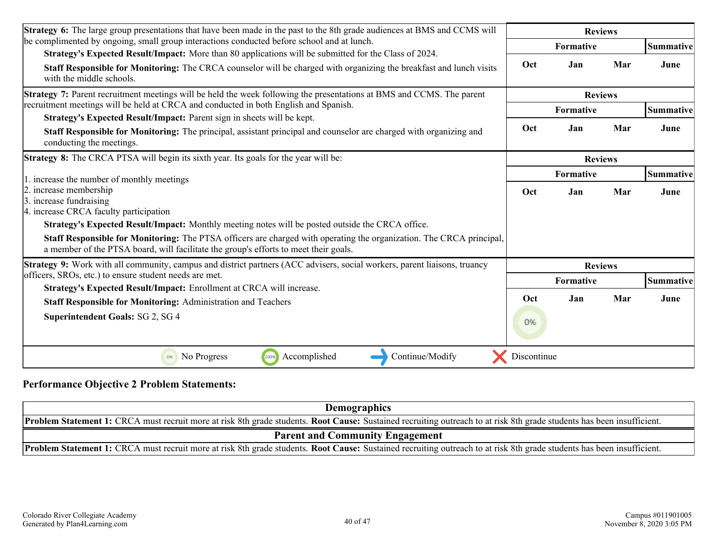| <b>Strategy 6:</b> The large group presentations that have been made in the past to the 8th grade audiences at BMS and CCMS will                                                                                                                                                                                               |                | <b>Reviews</b>   |     |                  |
|--------------------------------------------------------------------------------------------------------------------------------------------------------------------------------------------------------------------------------------------------------------------------------------------------------------------------------|----------------|------------------|-----|------------------|
| be complimented by ongoing, small group interactions conducted before school and at lunch.<br>Strategy's Expected Result/Impact: More than 80 applications will be submitted for the Class of 2024.                                                                                                                            |                | <b>Formative</b> |     | <b>Summative</b> |
| Staff Responsible for Monitoring: The CRCA counselor will be charged with organizing the breakfast and lunch visits<br>with the middle schools.                                                                                                                                                                                | Oct            | Jan              | Mar | June             |
| <b>Strategy 7:</b> Parent recruitment meetings will be held the week following the presentations at BMS and CCMS. The parent                                                                                                                                                                                                   | <b>Reviews</b> |                  |     |                  |
| recruitment meetings will be held at CRCA and conducted in both English and Spanish.                                                                                                                                                                                                                                           |                | Formative        |     | Summative        |
| Strategy's Expected Result/Impact: Parent sign in sheets will be kept.<br><b>Staff Responsible for Monitoring:</b> The principal, assistant principal and counselor are charged with organizing and<br>conducting the meetings.                                                                                                | Oct            | Jan              | Mar | June             |
| <b>Strategy 8:</b> The CRCA PTSA will begin its sixth year. Its goals for the year will be:                                                                                                                                                                                                                                    |                | <b>Reviews</b>   |     |                  |
| 1. increase the number of monthly meetings                                                                                                                                                                                                                                                                                     | Formative      |                  |     | Summative        |
| 2. increase membership<br>3. increase fundraising<br>4. increase CRCA faculty participation                                                                                                                                                                                                                                    | Oct            | Jan              | Mar | June             |
| <b>Strategy's Expected Result/Impact:</b> Monthly meeting notes will be posted outside the CRCA office.<br><b>Staff Responsible for Monitoring:</b> The PTSA officers are charged with operating the organization. The CRCA principal,<br>a member of the PTSA board, will facilitate the group's efforts to meet their goals. |                |                  |     |                  |
| Strategy 9: Work with all community, campus and district partners (ACC advisers, social workers, parent liaisons, truancy                                                                                                                                                                                                      |                | <b>Reviews</b>   |     |                  |
| officers, SROs, etc.) to ensure student needs are met.                                                                                                                                                                                                                                                                         |                | <b>Formative</b> |     | <b>Summative</b> |
| Strategy's Expected Result/Impact: Enrollment at CRCA will increase.<br><b>Staff Responsible for Monitoring: Administration and Teachers</b>                                                                                                                                                                                   | Oct            | Jan              | Mar | June             |
| Superintendent Goals: SG 2, SG 4                                                                                                                                                                                                                                                                                               | 0%             |                  |     |                  |
| Accomplished<br>Continue/Modify<br>No Progress<br>100%<br>0%                                                                                                                                                                                                                                                                   | Discontinue    |                  |     |                  |

### **Performance Objective 2 Problem Statements:**

| <b>Demographics</b>                                                                                                                                                           |  |  |  |  |
|-------------------------------------------------------------------------------------------------------------------------------------------------------------------------------|--|--|--|--|
| <b>Problem Statement 1:</b> CRCA must recruit more at risk 8th grade students. Root Cause: Sustained recruiting outreach to at risk 8th grade students has been insufficient. |  |  |  |  |
| <b>Parent and Community Engagement</b>                                                                                                                                        |  |  |  |  |
| <b>Problem Statement 1:</b> CRCA must recruit more at risk 8th grade students. Root Cause: Sustained recruiting outreach to at risk 8th grade students has been insufficient. |  |  |  |  |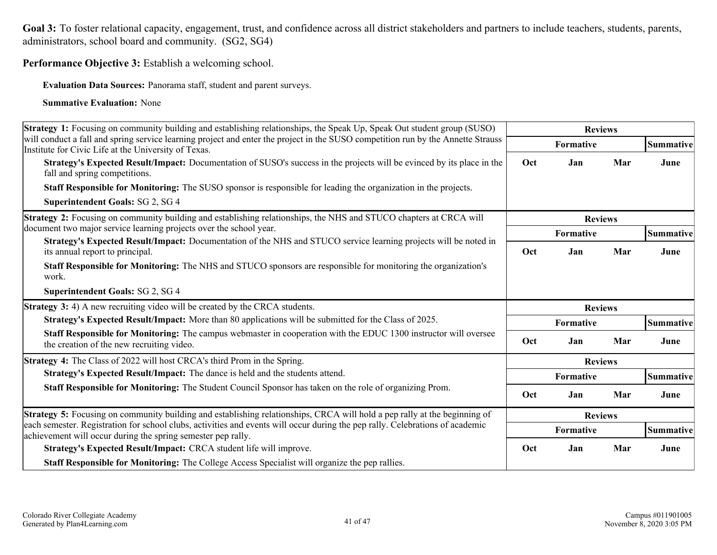Goal 3: To foster relational capacity, engagement, trust, and confidence across all district stakeholders and partners to include teachers, students, parents, administrators, school board and community. (SG2, SG4)

**Performance Objective 3:** Establish a welcoming school.

**Evaluation Data Sources:** Panorama staff, student and parent surveys.

| Strategy 1: Focusing on community building and establishing relationships, the Speak Up, Speak Out student group (SUSO)                                                                       | <b>Reviews</b>    |                |     |                  |
|-----------------------------------------------------------------------------------------------------------------------------------------------------------------------------------------------|-------------------|----------------|-----|------------------|
| will conduct a fall and spring service learning project and enter the project in the SUSO competition run by the Annette Strauss<br>Institute for Civic Life at the University of Texas.      |                   | Formative      |     | Summative        |
| <b>Strategy's Expected Result/Impact:</b> Documentation of SUSO's success in the projects will be evinced by its place in the<br>fall and spring competitions.                                | Mar<br>Oct<br>Jan |                |     | June             |
| <b>Staff Responsible for Monitoring:</b> The SUSO sponsor is responsible for leading the organization in the projects.                                                                        |                   |                |     |                  |
| Superintendent Goals: SG 2, SG 4                                                                                                                                                              |                   |                |     |                  |
| Strategy 2: Focusing on community building and establishing relationships, the NHS and STUCO chapters at CRCA will                                                                            |                   | <b>Reviews</b> |     |                  |
| document two major service learning projects over the school year.                                                                                                                            |                   | Formative      |     | <b>Summative</b> |
| Strategy's Expected Result/Impact: Documentation of the NHS and STUCO service learning projects will be noted in<br>its annual report to principal.                                           | Oct               | Jan            | Mar | June             |
| Staff Responsible for Monitoring: The NHS and STUCO sponsors are responsible for monitoring the organization's<br>work.                                                                       |                   |                |     |                  |
| <b>Superintendent Goals: SG 2, SG 4</b>                                                                                                                                                       |                   |                |     |                  |
| <b>Strategy 3:</b> 4) A new recruiting video will be created by the CRCA students.                                                                                                            |                   | <b>Reviews</b> |     |                  |
|                                                                                                                                                                                               |                   |                |     |                  |
| Strategy's Expected Result/Impact: More than 80 applications will be submitted for the Class of 2025.                                                                                         |                   | Formative      |     | <b>Summative</b> |
| Staff Responsible for Monitoring: The campus webmaster in cooperation with the EDUC 1300 instructor will oversee<br>the creation of the new recruiting video.                                 | Oct               | Jan            | Mar | June             |
| <b>Strategy 4:</b> The Class of 2022 will host CRCA's third Prom in the Spring.                                                                                                               |                   | <b>Reviews</b> |     |                  |
| Strategy's Expected Result/Impact: The dance is held and the students attend.                                                                                                                 |                   | Formative      |     | Summative        |
| <b>Staff Responsible for Monitoring:</b> The Student Council Sponsor has taken on the role of organizing Prom.                                                                                | Oct               | Jan            | Mar | June             |
| <b>Strategy 5:</b> Focusing on community building and establishing relationships, CRCA will hold a pep rally at the beginning of                                                              |                   | <b>Reviews</b> |     |                  |
| each semester. Registration for school clubs, activities and events will occur during the pep rally. Celebrations of academic<br>achievement will occur during the spring semester pep rally. |                   | Formative      |     | Summative        |
| Strategy's Expected Result/Impact: CRCA student life will improve.                                                                                                                            | Oct               | Jan            | Mar | June             |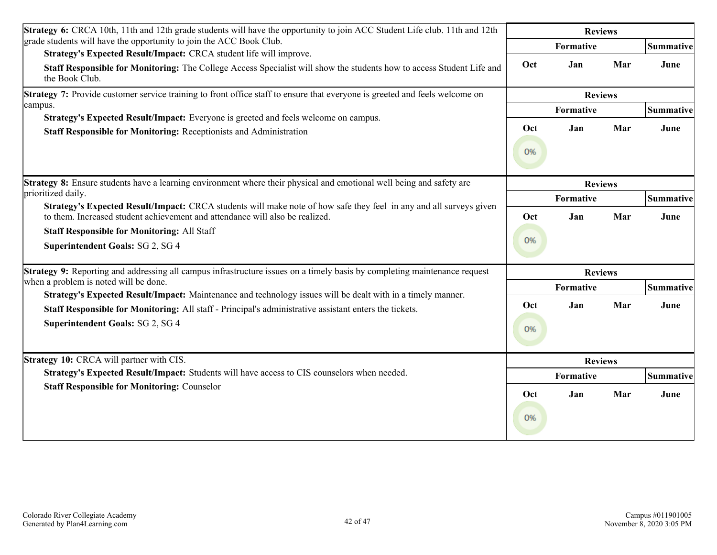| <b>Strategy 6:</b> CRCA 10th, 11th and 12th grade students will have the opportunity to join ACC Student Life club. 11th and 12th         |                |           | <b>Reviews</b> |                  |
|-------------------------------------------------------------------------------------------------------------------------------------------|----------------|-----------|----------------|------------------|
| grade students will have the opportunity to join the ACC Book Club.<br>Strategy's Expected Result/Impact: CRCA student life will improve. |                | Formative |                | <b>Summative</b> |
| Staff Responsible for Monitoring: The College Access Specialist will show the students how to access Student Life and<br>the Book Club.   | Oct            | Jan       | Mar            | June             |
| Strategy 7: Provide customer service training to front office staff to ensure that everyone is greeted and feels welcome on               |                |           | <b>Reviews</b> |                  |
| campus.                                                                                                                                   | Formative      |           |                | <b>Summative</b> |
| Strategy's Expected Result/Impact: Everyone is greeted and feels welcome on campus.                                                       | Oct            | Jan       | Mar            | June             |
| Staff Responsible for Monitoring: Receptionists and Administration                                                                        |                |           |                |                  |
| <b>Strategy 8:</b> Ensure students have a learning environment where their physical and emotional well being and safety are               | <b>Reviews</b> |           |                |                  |
| prioritized daily.<br>Strategy's Expected Result/Impact: CRCA students will make note of how safe they feel in any and all surveys given  | Formative      |           |                | Summative        |
| to them. Increased student achievement and attendance will also be realized.                                                              | Oct            | Jan       | Mar            | June             |
| <b>Staff Responsible for Monitoring: All Staff</b><br>Superintendent Goals: SG 2, SG 4                                                    |                |           |                |                  |
| Strategy 9: Reporting and addressing all campus infrastructure issues on a timely basis by completing maintenance request                 |                |           | <b>Reviews</b> |                  |
| when a problem is noted will be done.                                                                                                     |                | Formative |                | Summative        |
| Strategy's Expected Result/Impact: Maintenance and technology issues will be dealt with in a timely manner.                               | Oct            | Jan       | Mar            | June             |
| Staff Responsible for Monitoring: All staff - Principal's administrative assistant enters the tickets.                                    |                |           |                |                  |
| Superintendent Goals: SG 2, SG 4                                                                                                          | 0%             |           |                |                  |
| <b>Strategy 10: CRCA will partner with CIS.</b>                                                                                           |                |           | <b>Reviews</b> |                  |
| Strategy's Expected Result/Impact: Students will have access to CIS counselors when needed.                                               | Formative      |           |                | Summative        |
| <b>Staff Responsible for Monitoring: Counselor</b>                                                                                        | Oct<br>0%      | Jan       | Mar            | June             |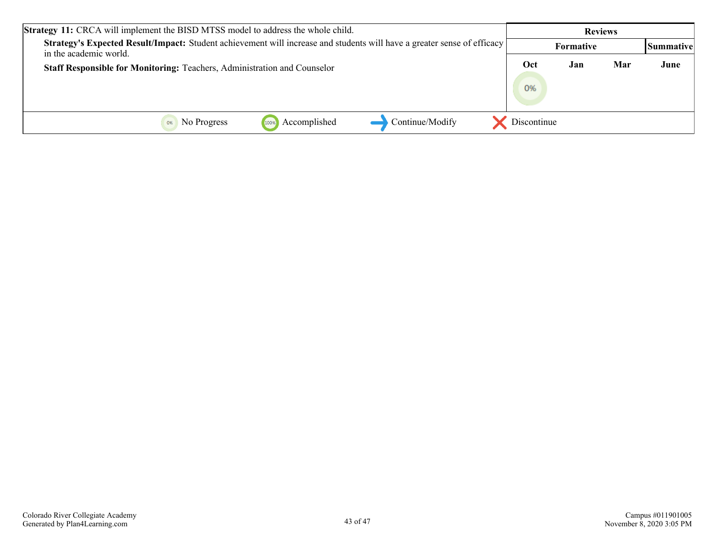| <b>Strategy 11:</b> CRCA will implement the BISD MTSS model to address the whole child.                                                           |             | <b>Reviews</b> |     |           |
|---------------------------------------------------------------------------------------------------------------------------------------------------|-------------|----------------|-----|-----------|
| Strategy's Expected Result/Impact: Student achievement will increase and students will have a greater sense of efficacy<br>in the academic world. |             | Formative      |     | Summative |
| Staff Responsible for Monitoring: Teachers, Administration and Counselor                                                                          | Oct<br>0%   | Jan            | Mar | June      |
| Continue/Modify<br>Accomplished<br>No Progress<br>100%                                                                                            | Discontinue |                |     |           |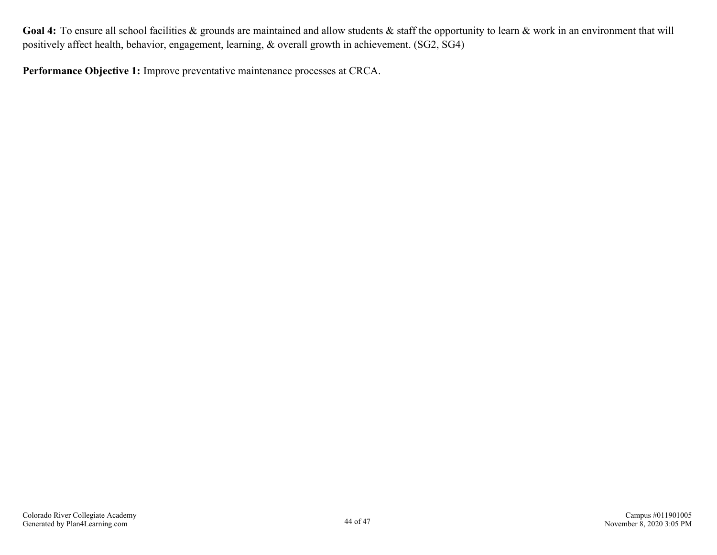<span id="page-42-0"></span>**Performance Objective 1:** Improve preventative maintenance processes at CRCA.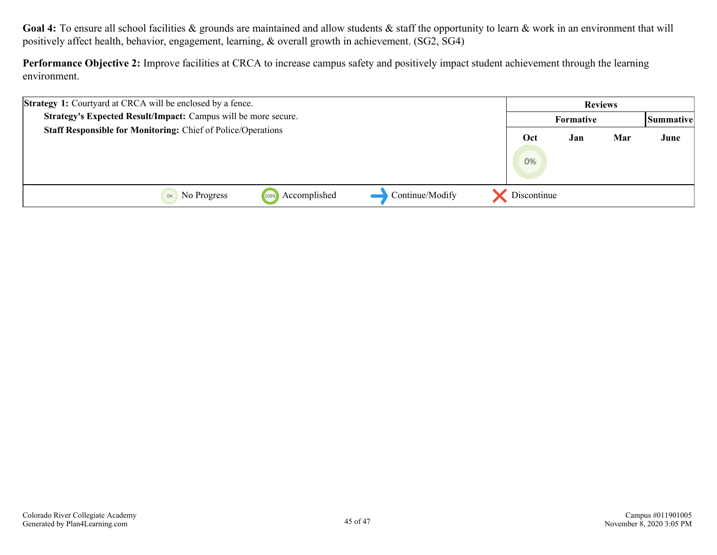**Performance Objective 2:** Improve facilities at CRCA to increase campus safety and positively impact student achievement through the learning environment.

| <b>Strategy 1:</b> Courtyard at CRCA will be enclosed by a fence.   |                 |             | <b>Reviews</b> |     |           |
|---------------------------------------------------------------------|-----------------|-------------|----------------|-----|-----------|
| Strategy's Expected Result/Impact: Campus will be more secure.      |                 |             | Formative      |     | Summative |
| <b>Staff Responsible for Monitoring: Chief of Police/Operations</b> |                 | Oct<br>0%   | Jan            | Mar | June      |
| Accomplished<br>No Progress<br>0%<br>100%                           | Continue/Modify | Discontinue |                |     |           |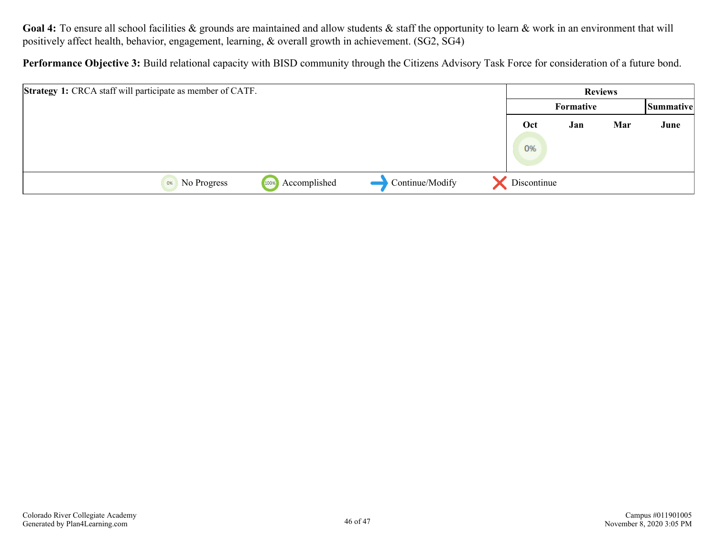**Performance Objective 3:** Build relational capacity with BISD community through the Citizens Advisory Task Force for consideration of a future bond.

| <b>Strategy 1:</b> CRCA staff will participate as member of CATF. |                   |                      |                 |             | <b>Reviews</b> |     |           |
|-------------------------------------------------------------------|-------------------|----------------------|-----------------|-------------|----------------|-----|-----------|
|                                                                   |                   |                      |                 |             | Formative      |     | Summative |
|                                                                   |                   |                      |                 | Oct<br>0%   | Jan            | Mar | June      |
|                                                                   | No Progress<br>0% | Accomplished<br>100% | Continue/Modify | Discontinue |                |     |           |